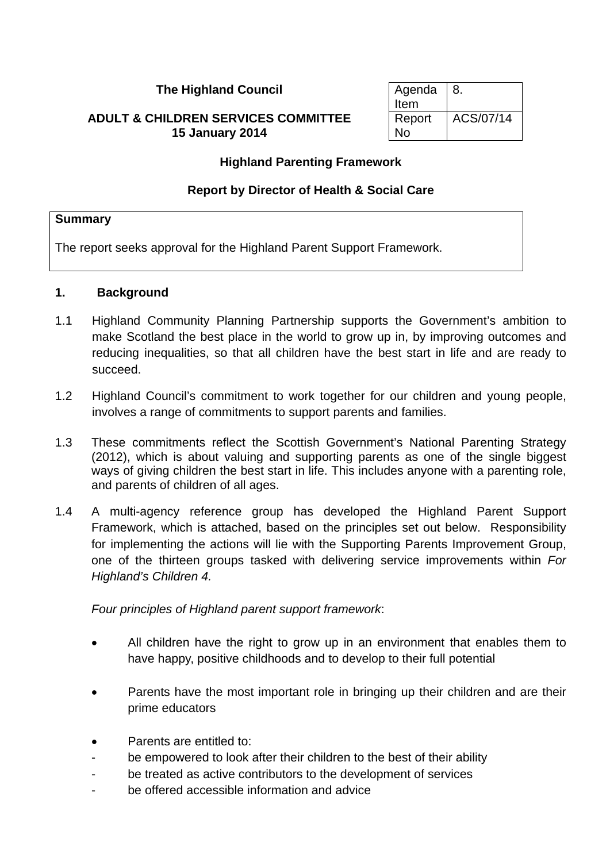#### **The Highland Council**

#### **ADULT & CHILDREN SERVICES COMMITTEE 15 January 2014**

| Agenda | 8.        |
|--------|-----------|
| Item   |           |
| Report | ACS/07/14 |
| No     |           |

#### **Highland Parenting Framework**

#### **Report by Director of Health & Social Care**

#### **Summary**

The report seeks approval for the Highland Parent Support Framework.

#### **1. Background**

- 1.1 Highland Community Planning Partnership supports the Government's ambition to make Scotland the best place in the world to grow up in, by improving outcomes and reducing inequalities, so that all children have the best start in life and are ready to succeed.
- 1.2 Highland Council's commitment to work together for our children and young people, involves a range of commitments to support parents and families.
- 1.3 These commitments reflect the Scottish Government's National Parenting Strategy (2012), which is about valuing and supporting parents as one of the single biggest ways of giving children the best start in life. This includes anyone with a parenting role, and parents of children of all ages.
- 1.4 A multi-agency reference group has developed the Highland Parent Support Framework, which is attached, based on the principles set out below. Responsibility for implementing the actions will lie with the Supporting Parents Improvement Group, one of the thirteen groups tasked with delivering service improvements within *For Highland's Children 4.*

*Four principles of Highland parent support framework*:

- All children have the right to grow up in an environment that enables them to have happy, positive childhoods and to develop to their full potential
- Parents have the most important role in bringing up their children and are their prime educators
- Parents are entitled to:
- be empowered to look after their children to the best of their ability
- be treated as active contributors to the development of services
- be offered accessible information and advice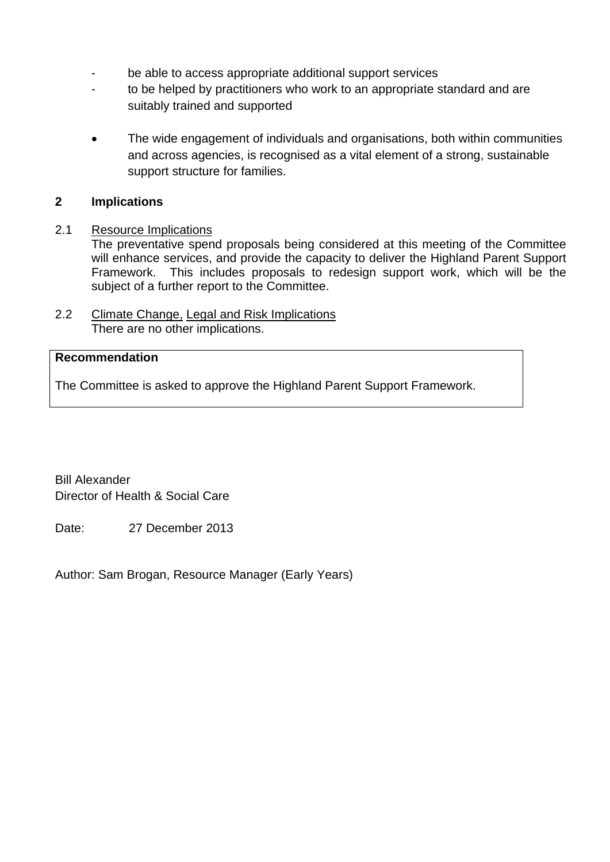- be able to access appropriate additional support services
- to be helped by practitioners who work to an appropriate standard and are suitably trained and supported
- The wide engagement of individuals and organisations, both within communities and across agencies, is recognised as a vital element of a strong, sustainable support structure for families.

#### **2 Implications**

#### 2.1 Resource Implications

The preventative spend proposals being considered at this meeting of the Committee will enhance services, and provide the capacity to deliver the Highland Parent Support Framework. This includes proposals to redesign support work, which will be the subject of a further report to the Committee.

2.2 Climate Change, Legal and Risk Implications There are no other implications.

## **Recommendation**

The Committee is asked to approve the Highland Parent Support Framework.

Bill Alexander Director of Health & Social Care

Date: 27 December 2013

Author: Sam Brogan, Resource Manager (Early Years)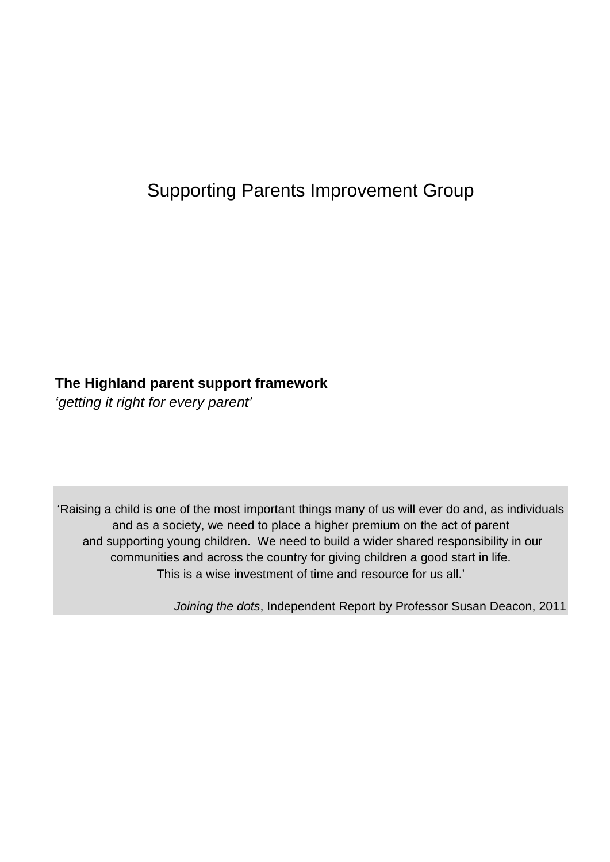# Supporting Parents Improvement Group

## **The Highland parent support framework**

*'getting it right for every parent'* 

'Raising a child is one of the most important things many of us will ever do and, as individuals and as a society, we need to place a higher premium on the act of parent and supporting young children. We need to build a wider shared responsibility in our communities and across the country for giving children a good start in life. This is a wise investment of time and resource for us all.'

*Joining the dots*, Independent Report by Professor Susan Deacon, 2011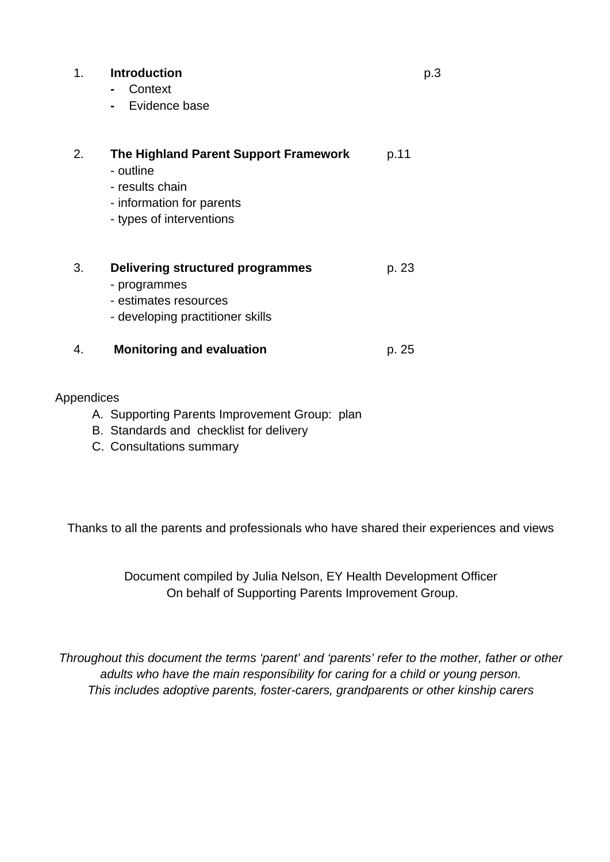#### 1. **Introduction** p.3

- Context
- Evidence base

| 2. | The Highland Parent Support Framework<br>- outline<br>- results chain<br>- information for parents<br>- types of interventions | p.11  |
|----|--------------------------------------------------------------------------------------------------------------------------------|-------|
| 3. | Delivering structured programmes<br>- programmes<br>- estimates resources<br>- developing practitioner skills                  | p. 23 |
|    | <b>Monitoring and evaluation</b>                                                                                               | p. 25 |

#### Appendices

- A. Supporting Parents Improvement Group: plan
- B. Standards and checklist for delivery
- C. Consultations summary

Thanks to all the parents and professionals who have shared their experiences and views

Document compiled by Julia Nelson, EY Health Development Officer On behalf of Supporting Parents Improvement Group.

*Throughout this document the terms 'parent' and 'parents' refer to the mother, father or other adults who have the main responsibility for caring for a child or young person. This includes adoptive parents, foster-carers, grandparents or other kinship carers*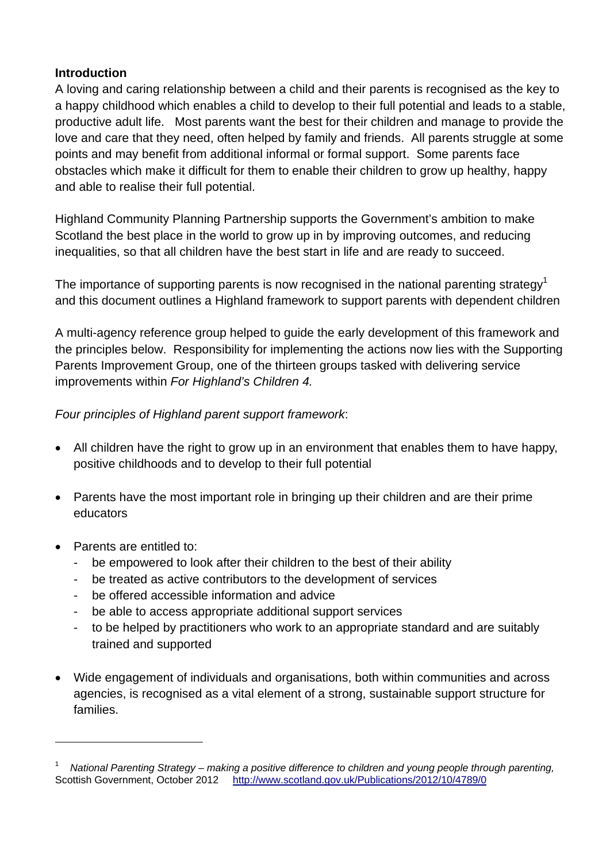#### **Introduction**

A loving and caring relationship between a child and their parents is recognised as the key to a happy childhood which enables a child to develop to their full potential and leads to a stable, productive adult life. Most parents want the best for their children and manage to provide the love and care that they need, often helped by family and friends. All parents struggle at some points and may benefit from additional informal or formal support. Some parents face obstacles which make it difficult for them to enable their children to grow up healthy, happy and able to realise their full potential.

Highland Community Planning Partnership supports the Government's ambition to make Scotland the best place in the world to grow up in by improving outcomes, and reducing inequalities, so that all children have the best start in life and are ready to succeed.

The importance of supporting parents is now recognised in the national parenting strategy<sup>1</sup> and this document outlines a Highland framework to support parents with dependent children

A multi-agency reference group helped to guide the early development of this framework and the principles below. Responsibility for implementing the actions now lies with the Supporting Parents Improvement Group, one of the thirteen groups tasked with delivering service improvements within *For Highland's Children 4.* 

## *Four principles of Highland parent support framework*:

- All children have the right to grow up in an environment that enables them to have happy, positive childhoods and to develop to their full potential
- Parents have the most important role in bringing up their children and are their prime educators
- Parents are entitled to:

 $\overline{a}$ 

- be empowered to look after their children to the best of their ability
- be treated as active contributors to the development of services
- be offered accessible information and advice
- be able to access appropriate additional support services
- to be helped by practitioners who work to an appropriate standard and are suitably trained and supported
- Wide engagement of individuals and organisations, both within communities and across agencies, is recognised as a vital element of a strong, sustainable support structure for families.

<sup>1</sup> *National Parenting Strategy – making a positive difference to children and young people through parenting,*  Scottish Government, October 2012http://www.scotland.gov.uk/Publications/2012/10/4789/0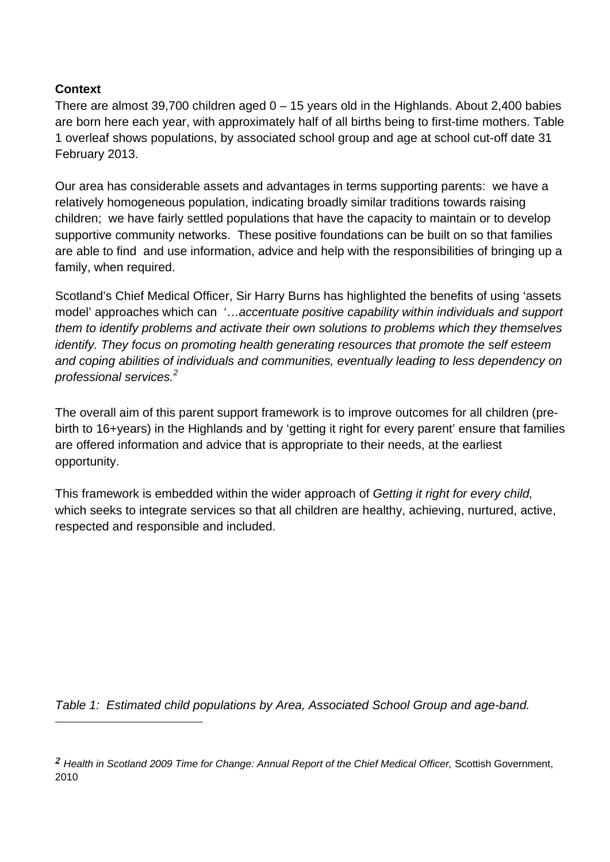## **Context**

l

There are almost 39,700 children aged  $0 - 15$  years old in the Highlands. About 2,400 babies are born here each year, with approximately half of all births being to first-time mothers. Table 1 overleaf shows populations, by associated school group and age at school cut-off date 31 February 2013.

Our area has considerable assets and advantages in terms supporting parents: we have a relatively homogeneous population, indicating broadly similar traditions towards raising children; we have fairly settled populations that have the capacity to maintain or to develop supportive community networks. These positive foundations can be built on so that families are able to find and use information, advice and help with the responsibilities of bringing up a family, when required.

Scotland's Chief Medical Officer, Sir Harry Burns has highlighted the benefits of using 'assets model' approaches which can '…*accentuate positive capability within individuals and support them to identify problems and activate their own solutions to problems which they themselves identify. They focus on promoting health generating resources that promote the self esteem and coping abilities of individuals and communities, eventually leading to less dependency on professional services.<sup>2</sup>*

The overall aim of this parent support framework is to improve outcomes for all children (prebirth to 16+years) in the Highlands and by 'getting it right for every parent' ensure that families are offered information and advice that is appropriate to their needs, at the earliest opportunity.

This framework is embedded within the wider approach of *Getting it right for every child,*  which seeks to integrate services so that all children are healthy, achieving, nurtured, active, respected and responsible and included.

*Table 1: Estimated child populations by Area, Associated School Group and age-band.*

*<sup>2</sup> Health in Scotland 2009 Time for Change: Annual Report of the Chief Medical Officer,* Scottish Government, 2010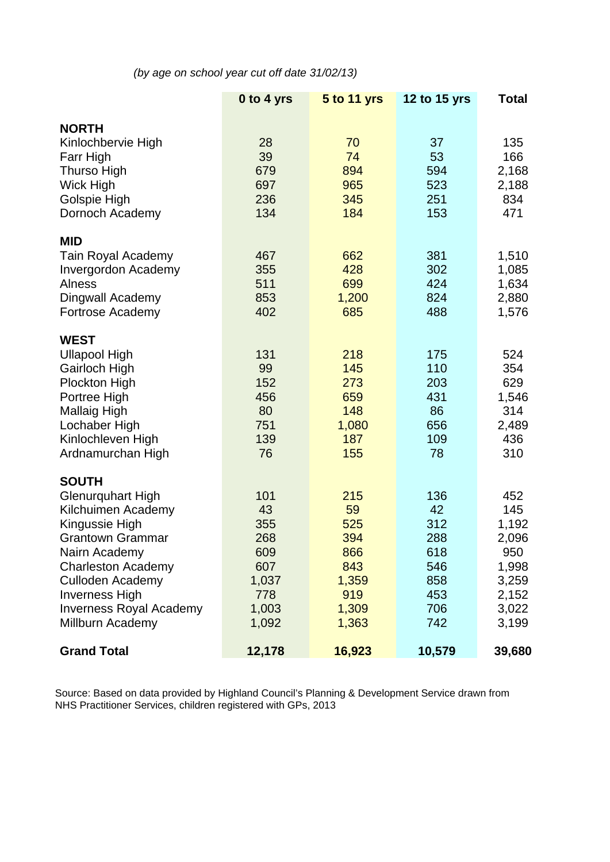*(by age on school year cut off date 31/02/13)* 

|                                                                                                                                                                                                                                                                     | 0 to 4 yrs                                                              | <b>5 to 11 yrs</b>                                                      | 12 to 15 yrs                                                      | <b>Total</b>                                                                     |
|---------------------------------------------------------------------------------------------------------------------------------------------------------------------------------------------------------------------------------------------------------------------|-------------------------------------------------------------------------|-------------------------------------------------------------------------|-------------------------------------------------------------------|----------------------------------------------------------------------------------|
| <b>NORTH</b><br>Kinlochbervie High<br>Farr High<br>Thurso High<br>Wick High<br>Golspie High<br>Dornoch Academy                                                                                                                                                      | 28<br>39<br>679<br>697<br>236<br>134                                    | 70<br>74<br>894<br>965<br>345<br>184                                    | 37<br>53<br>594<br>523<br>251<br>153                              | 135<br>166<br>2,168<br>2,188<br>834<br>471                                       |
| <b>MID</b><br><b>Tain Royal Academy</b><br><b>Invergordon Academy</b><br><b>Alness</b><br>Dingwall Academy<br>Fortrose Academy                                                                                                                                      | 467<br>355<br>511<br>853<br>402                                         | 662<br>428<br>699<br>1,200<br>685                                       | 381<br>302<br>424<br>824<br>488                                   | 1,510<br>1,085<br>1,634<br>2,880<br>1,576                                        |
| <b>WEST</b><br><b>Ullapool High</b><br>Gairloch High<br><b>Plockton High</b><br>Portree High<br><b>Mallaig High</b><br>Lochaber High<br>Kinlochleven High<br>Ardnamurchan High                                                                                      | 131<br>99<br>152<br>456<br>80<br>751<br>139<br>76                       | 218<br>145<br>273<br>659<br>148<br>1,080<br>187<br>155                  | 175<br>110<br>203<br>431<br>86<br>656<br>109<br>78                | 524<br>354<br>629<br>1,546<br>314<br>2,489<br>436<br>310                         |
| <b>SOUTH</b><br><b>Glenurquhart High</b><br>Kilchuimen Academy<br>Kingussie High<br><b>Grantown Grammar</b><br>Nairn Academy<br><b>Charleston Academy</b><br><b>Culloden Academy</b><br><b>Inverness High</b><br><b>Inverness Royal Academy</b><br>Millburn Academy | 101<br>43<br>355<br>268<br>609<br>607<br>1,037<br>778<br>1,003<br>1,092 | 215<br>59<br>525<br>394<br>866<br>843<br>1,359<br>919<br>1,309<br>1,363 | 136<br>42<br>312<br>288<br>618<br>546<br>858<br>453<br>706<br>742 | 452<br>145<br>1,192<br>2,096<br>950<br>1,998<br>3,259<br>2,152<br>3,022<br>3,199 |
| <b>Grand Total</b>                                                                                                                                                                                                                                                  | 12,178                                                                  | 16,923                                                                  | 10,579                                                            | 39,680                                                                           |

Source: Based on data provided by Highland Council's Planning & Development Service drawn from NHS Practitioner Services, children registered with GPs, 2013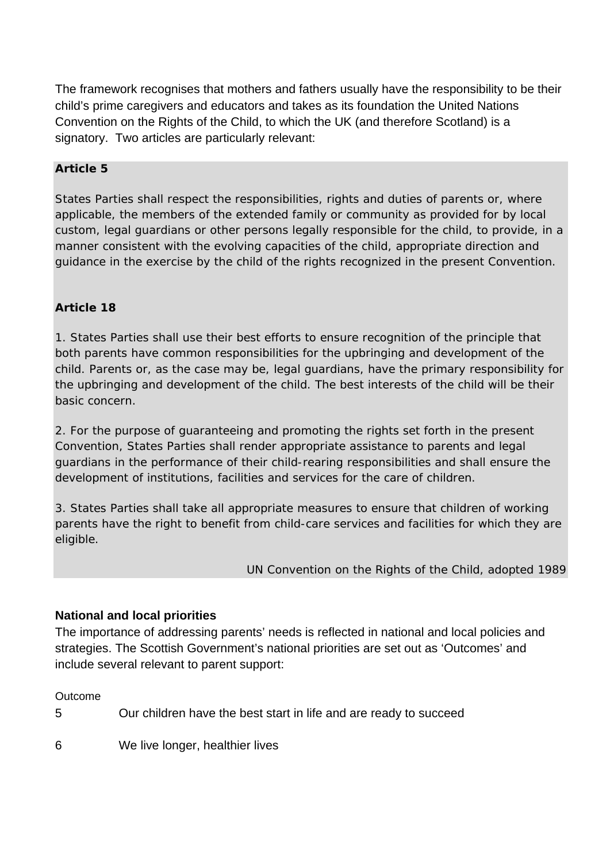The framework recognises that mothers and fathers usually have the responsibility to be their child's prime caregivers and educators and takes as its foundation the United Nations Convention on the Rights of the Child, to which the UK (and therefore Scotland) is a signatory. Two articles are particularly relevant:

#### **Article 5**

States Parties shall respect the responsibilities, rights and duties of parents or, where applicable, the members of the extended family or community as provided for by local custom, legal guardians or other persons legally responsible for the child, to provide, in a manner consistent with the evolving capacities of the child, appropriate direction and guidance in the exercise by the child of the rights recognized in the present Convention.

## **Article 18**

1. States Parties shall use their best efforts to ensure recognition of the principle that both parents have common responsibilities for the upbringing and development of the child. Parents or, as the case may be, legal guardians, have the primary responsibility for the upbringing and development of the child. The best interests of the child will be their basic concern.

2. For the purpose of guaranteeing and promoting the rights set forth in the present Convention, States Parties shall render appropriate assistance to parents and legal guardians in the performance of their child-rearing responsibilities and shall ensure the development of institutions, facilities and services for the care of children.

3. States Parties shall take all appropriate measures to ensure that children of working parents have the right to benefit from child-care services and facilities for which they are eligible.

## *UN Convention on the Rights of the Child, adopted 1989*

## **National and local priorities**

The importance of addressing parents' needs is reflected in national and local policies and strategies. The Scottish Government's national priorities are set out as 'Outcomes' and include several relevant to parent support:

#### **Outcome**

5 Our children have the best start in life and are ready to succeed

6 We live longer, healthier lives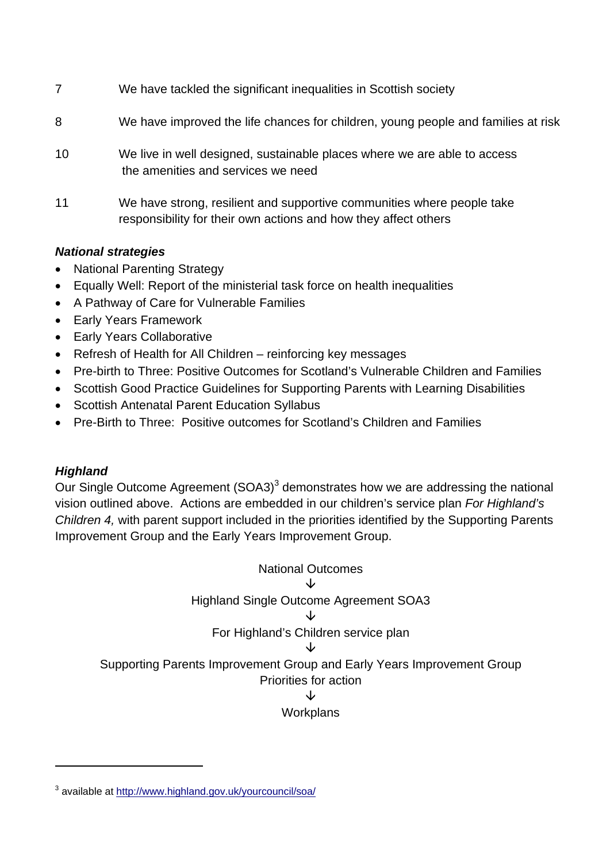| Alatianal atvataniaa |                                                                                                                                           |
|----------------------|-------------------------------------------------------------------------------------------------------------------------------------------|
| 11                   | We have strong, resilient and supportive communities where people take<br>responsibility for their own actions and how they affect others |
| 10                   | We live in well designed, sustainable places where we are able to access<br>the amenities and services we need                            |
| 8                    | We have improved the life chances for children, young people and families at risk                                                         |
| 7                    | We have tackled the significant inequalities in Scottish society                                                                          |

## *National strategies*

- National Parenting Strategy
- Equally Well: Report of the ministerial task force on health inequalities
- A Pathway of Care for Vulnerable Families
- Early Years Framework
- Early Years Collaborative
- Refresh of Health for All Children reinforcing key messages
- Pre-birth to Three: Positive Outcomes for Scotland's Vulnerable Children and Families
- Scottish Good Practice Guidelines for Supporting Parents with Learning Disabilities
- Scottish Antenatal Parent Education Syllabus
- Pre-Birth to Three: Positive outcomes for Scotland's Children and Families

# *Highland*

l

Our Single Outcome Agreement  $(SOA3)^3$  demonstrates how we are addressing the national vision outlined above. Actions are embedded in our children's service plan *For Highland's Children 4,* with parent support included in the priorities identified by the Supporting Parents Improvement Group and the Early Years Improvement Group.

National Outcomes  $\downarrow$ Highland Single Outcome Agreement SOA3  $\downarrow$ For Highland's Children service plan  $\overline{1}$ Supporting Parents Improvement Group and Early Years Improvement Group Priorities for action Jz **Workplans** 

<sup>&</sup>lt;sup>3</sup> available at http://www.highland.gov.uk/yourcouncil/soa/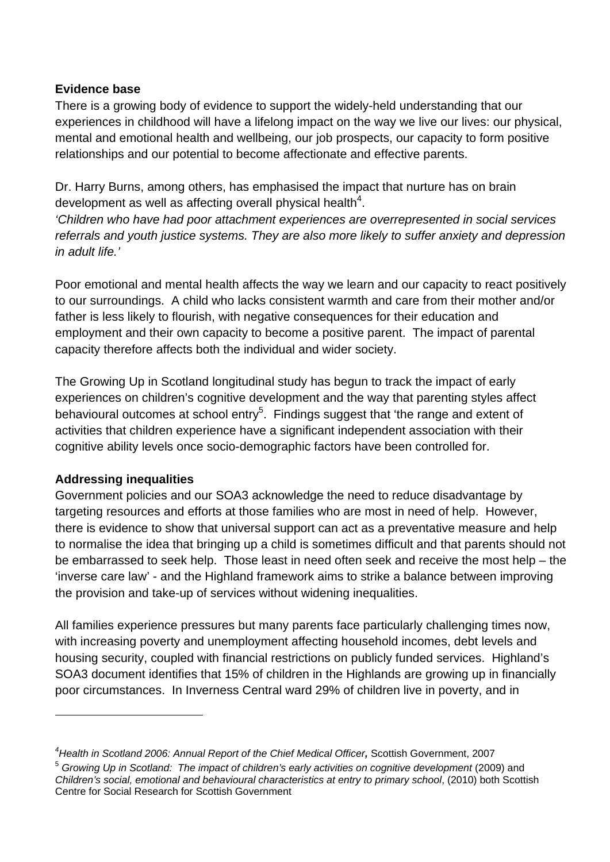## **Evidence base**

There is a growing body of evidence to support the widely-held understanding that our experiences in childhood will have a lifelong impact on the way we live our lives: our physical, mental and emotional health and wellbeing, our job prospects, our capacity to form positive relationships and our potential to become affectionate and effective parents.

Dr. Harry Burns, among others, has emphasised the impact that nurture has on brain development as well as affecting overall physical health<sup>4</sup>.

*'Children who have had poor attachment experiences are overrepresented in social services referrals and youth justice systems. They are also more likely to suffer anxiety and depression in adult life.'* 

Poor emotional and mental health affects the way we learn and our capacity to react positively to our surroundings. A child who lacks consistent warmth and care from their mother and/or father is less likely to flourish, with negative consequences for their education and employment and their own capacity to become a positive parent. The impact of parental capacity therefore affects both the individual and wider society.

The Growing Up in Scotland longitudinal study has begun to track the impact of early experiences on children's cognitive development and the way that parenting styles affect behavioural outcomes at school entry<sup>5</sup>. Findings suggest that 'the range and extent of activities that children experience have a significant independent association with their cognitive ability levels once socio-demographic factors have been controlled for.

## **Addressing inequalities**

l

Government policies and our SOA3 acknowledge the need to reduce disadvantage by targeting resources and efforts at those families who are most in need of help. However, there is evidence to show that universal support can act as a preventative measure and help to normalise the idea that bringing up a child is sometimes difficult and that parents should not be embarrassed to seek help. Those least in need often seek and receive the most help – the 'inverse care law' - and the Highland framework aims to strike a balance between improving the provision and take-up of services without widening inequalities.

All families experience pressures but many parents face particularly challenging times now, with increasing poverty and unemployment affecting household incomes, debt levels and housing security, coupled with financial restrictions on publicly funded services. Highland's SOA3 document identifies that 15% of children in the Highlands are growing up in financially poor circumstances. In Inverness Central ward 29% of children live in poverty, and in

*<sup>4</sup> Health in Scotland 2006: Annual Report of the Chief Medical Officer,* Scottish Government, 2007

<sup>&</sup>lt;sup>5</sup> Growing Up in Scotland: The impact of children's early activities on cognitive development (2009) and *Children's social, emotional and behavioural characteristics at entry to primary school*, (2010) both Scottish Centre for Social Research for Scottish Government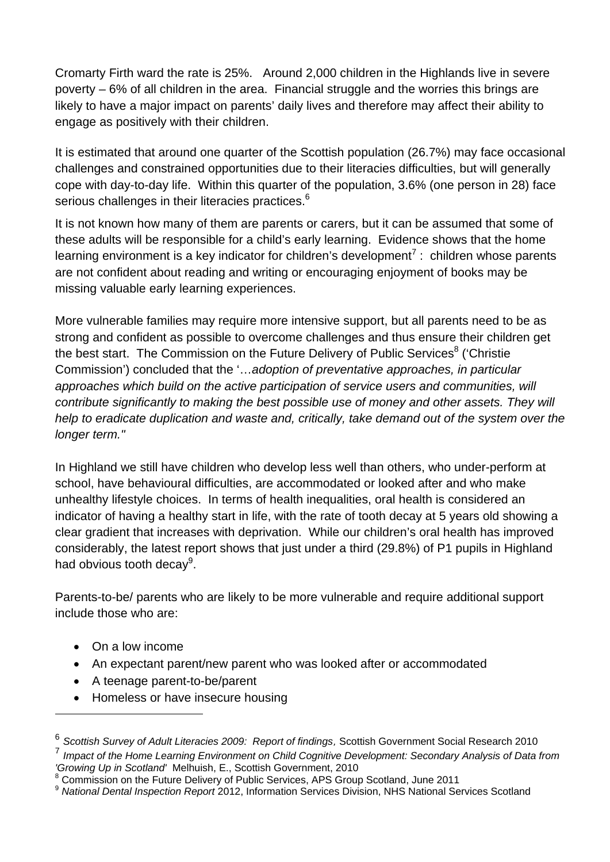Cromarty Firth ward the rate is 25%. Around 2,000 children in the Highlands live in severe poverty – 6% of all children in the area. Financial struggle and the worries this brings are likely to have a major impact on parents' daily lives and therefore may affect their ability to engage as positively with their children.

It is estimated that around one quarter of the Scottish population (26.7%) may face occasional challenges and constrained opportunities due to their literacies difficulties, but will generally cope with day-to-day life. Within this quarter of the population, 3.6% (one person in 28) face serious challenges in their literacies practices.<sup>6</sup>

It is not known how many of them are parents or carers, but it can be assumed that some of these adults will be responsible for a child's early learning. Evidence shows that the home learning environment is a key indicator for children's development<sup>7</sup> : children whose parents are not confident about reading and writing or encouraging enjoyment of books may be missing valuable early learning experiences.

More vulnerable families may require more intensive support, but all parents need to be as strong and confident as possible to overcome challenges and thus ensure their children get the best start. The Commission on the Future Delivery of Public Services<sup>8</sup> ('Christie Commission') concluded that the '…*adoption of preventative approaches, in particular approaches which build on the active participation of service users and communities, will contribute significantly to making the best possible use of money and other assets. They will help to eradicate duplication and waste and, critically, take demand out of the system over the longer term."* 

In Highland we still have children who develop less well than others, who under-perform at school, have behavioural difficulties, are accommodated or looked after and who make unhealthy lifestyle choices. In terms of health inequalities, oral health is considered an indicator of having a healthy start in life, with the rate of tooth decay at 5 years old showing a clear gradient that increases with deprivation. While our children's oral health has improved considerably, the latest report shows that just under a third (29.8%) of P1 pupils in Highland had obvious tooth decay<sup>9</sup>.

Parents-to-be/ parents who are likely to be more vulnerable and require additional support include those who are:

On a low income

l

- An expectant parent/new parent who was looked after or accommodated
- A teenage parent-to-be/parent
- Homeless or have insecure housing

<sup>6</sup> *Scottish Survey of Adult Literacies 2009: Report of findings,* Scottish Government Social Research 2010 <sup>7</sup> *Impact of the Home Learning Environment on Child Cognitive Development: Secondary Analysis of Data from 'Growing Up in Scotland'* Melhuish, E., Scottish Government, 2010

<sup>8</sup> Commission on the Future Delivery of Public Services, APS Group Scotland, June 2011

<sup>9</sup> *National Dental Inspection Report* 2012, Information Services Division, NHS National Services Scotland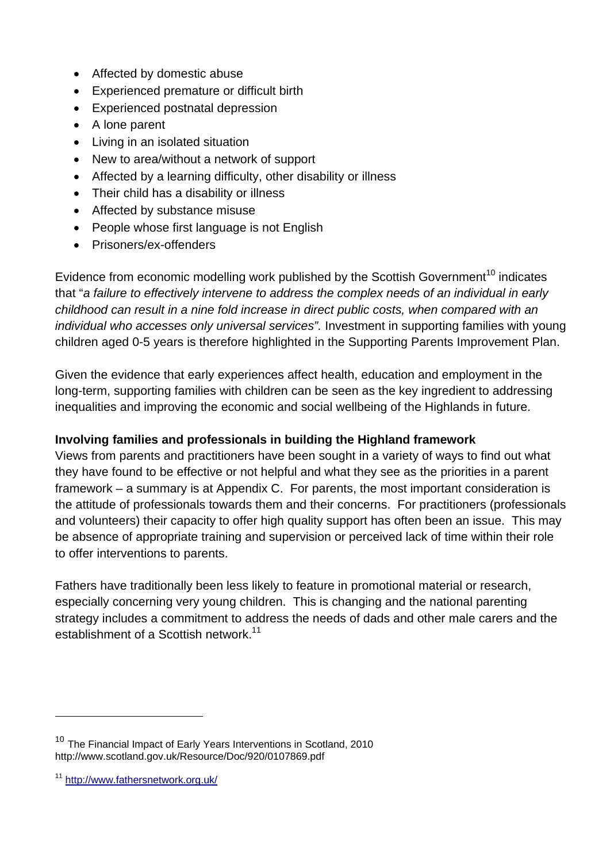- Affected by domestic abuse
- Experienced premature or difficult birth
- Experienced postnatal depression
- A lone parent
- Living in an isolated situation
- New to area/without a network of support
- Affected by a learning difficulty, other disability or illness
- Their child has a disability or illness
- Affected by substance misuse
- People whose first language is not English
- Prisoners/ex-offenders

Evidence from economic modelling work published by the Scottish Government<sup>10</sup> indicates that "*a failure to effectively intervene to address the complex needs of an individual in early childhood can result in a nine fold increase in direct public costs, when compared with an individual who accesses only universal services".* Investment in supporting families with young children aged 0-5 years is therefore highlighted in the Supporting Parents Improvement Plan.

Given the evidence that early experiences affect health, education and employment in the long-term, supporting families with children can be seen as the key ingredient to addressing inequalities and improving the economic and social wellbeing of the Highlands in future.

## **Involving families and professionals in building the Highland framework**

Views from parents and practitioners have been sought in a variety of ways to find out what they have found to be effective or not helpful and what they see as the priorities in a parent framework – a summary is at Appendix C. For parents, the most important consideration is the attitude of professionals towards them and their concerns. For practitioners (professionals and volunteers) their capacity to offer high quality support has often been an issue. This may be absence of appropriate training and supervision or perceived lack of time within their role to offer interventions to parents.

Fathers have traditionally been less likely to feature in promotional material or research, especially concerning very young children. This is changing and the national parenting strategy includes a commitment to address the needs of dads and other male carers and the establishment of a Scottish network.<sup>11</sup>

l

<sup>&</sup>lt;sup>10</sup> The Financial Impact of Early Years Interventions in Scotland, 2010 http://www.scotland.gov.uk/Resource/Doc/920/0107869.pdf

<sup>11</sup> http://www.fathersnetwork.org.uk/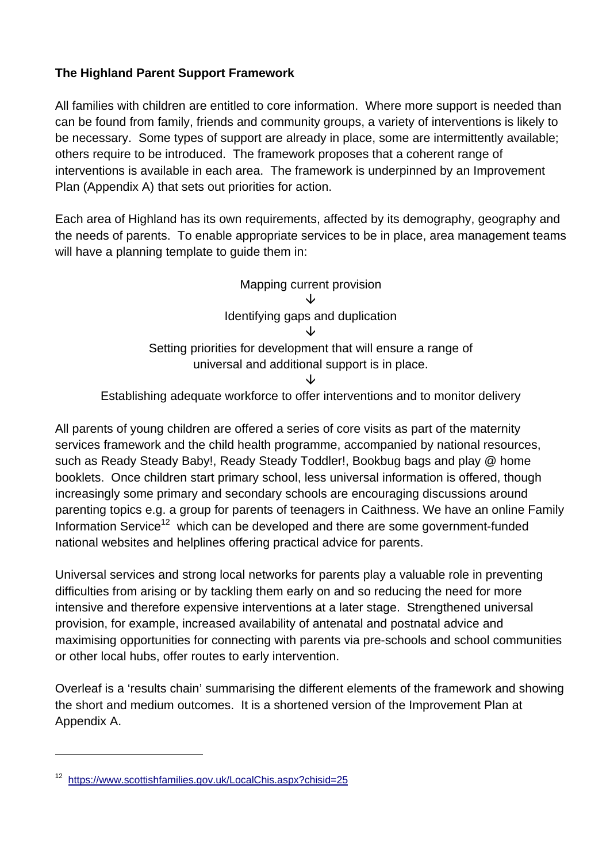## **The Highland Parent Support Framework**

All families with children are entitled to core information. Where more support is needed than can be found from family, friends and community groups, a variety of interventions is likely to be necessary. Some types of support are already in place, some are intermittently available; others require to be introduced. The framework proposes that a coherent range of interventions is available in each area. The framework is underpinned by an Improvement Plan (Appendix A) that sets out priorities for action.

Each area of Highland has its own requirements, affected by its demography, geography and the needs of parents. To enable appropriate services to be in place, area management teams will have a planning template to guide them in:



Establishing adequate workforce to offer interventions and to monitor delivery

All parents of young children are offered a series of core visits as part of the maternity services framework and the child health programme, accompanied by national resources, such as Ready Steady Baby!, Ready Steady Toddler!, Bookbug bags and play @ home booklets. Once children start primary school, less universal information is offered, though increasingly some primary and secondary schools are encouraging discussions around parenting topics e.g. a group for parents of teenagers in Caithness. We have an online Family Information Service<sup>12</sup> which can be developed and there are some government-funded national websites and helplines offering practical advice for parents.

Universal services and strong local networks for parents play a valuable role in preventing difficulties from arising or by tackling them early on and so reducing the need for more intensive and therefore expensive interventions at a later stage. Strengthened universal provision, for example, increased availability of antenatal and postnatal advice and maximising opportunities for connecting with parents via pre-schools and school communities or other local hubs, offer routes to early intervention.

Overleaf is a 'results chain' summarising the different elements of the framework and showing the short and medium outcomes. It is a shortened version of the Improvement Plan at Appendix A.

l

<sup>12</sup> https://www.scottishfamilies.gov.uk/LocalChis.aspx?chisid=25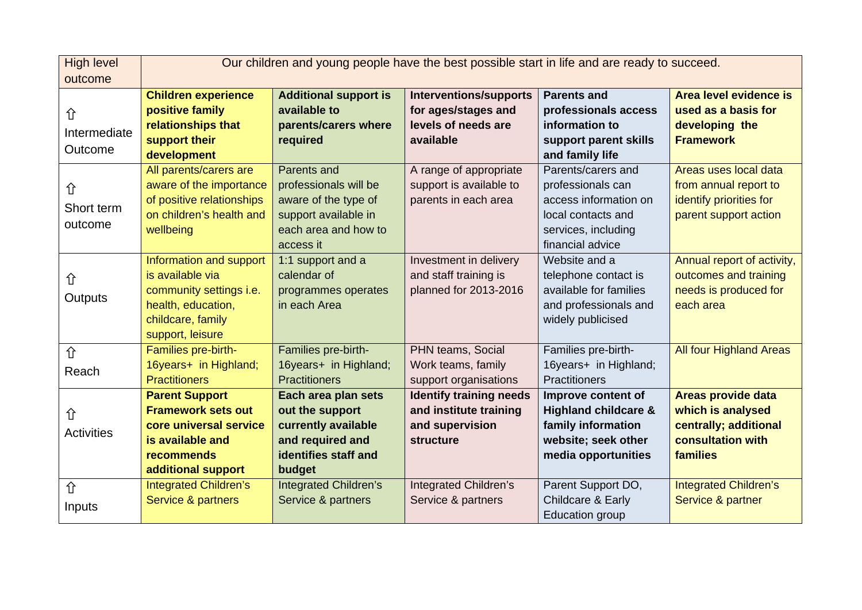| <b>High level</b> | Our children and young people have the best possible start in life and are ready to succeed. |                              |                                |                                 |                                |
|-------------------|----------------------------------------------------------------------------------------------|------------------------------|--------------------------------|---------------------------------|--------------------------------|
| outcome           |                                                                                              |                              |                                |                                 |                                |
|                   | <b>Children experience</b>                                                                   | <b>Additional support is</b> | <b>Interventions/supports</b>  | <b>Parents and</b>              | Area level evidence is         |
| 仚                 | positive family                                                                              | available to                 | for ages/stages and            | professionals access            | used as a basis for            |
| Intermediate      | relationships that                                                                           | parents/carers where         | levels of needs are            | information to                  | developing the                 |
| Outcome           | support their                                                                                | required                     | available                      | support parent skills           | <b>Framework</b>               |
|                   | development                                                                                  |                              |                                | and family life                 |                                |
|                   | All parents/carers are                                                                       | Parents and                  | A range of appropriate         | Parents/carers and              | Areas uses local data          |
| 仚                 | aware of the importance                                                                      | professionals will be        | support is available to        | professionals can               | from annual report to          |
| Short term        | of positive relationships                                                                    | aware of the type of         | parents in each area           | access information on           | identify priorities for        |
|                   | on children's health and                                                                     | support available in         |                                | local contacts and              | parent support action          |
| outcome           | wellbeing                                                                                    | each area and how to         |                                | services, including             |                                |
|                   |                                                                                              | access it                    |                                | financial advice                |                                |
|                   | Information and support                                                                      | 1:1 support and a            | Investment in delivery         | Website and a                   | Annual report of activity,     |
| 仚                 | is available via                                                                             | calendar of                  | and staff training is          | telephone contact is            | outcomes and training          |
| Outputs           | community settings i.e.                                                                      | programmes operates          | planned for 2013-2016          | available for families          | needs is produced for          |
|                   | health, education,                                                                           | in each Area                 |                                | and professionals and           | each area                      |
|                   | childcare, family                                                                            |                              |                                | widely publicised               |                                |
|                   | support, leisure                                                                             |                              |                                |                                 |                                |
| 仚                 | Families pre-birth-                                                                          | Families pre-birth-          | PHN teams, Social              | Families pre-birth-             | <b>All four Highland Areas</b> |
| Reach             | 16years+ in Highland;                                                                        | 16years+ in Highland;        | Work teams, family             | 16years+ in Highland;           |                                |
|                   | <b>Practitioners</b>                                                                         | <b>Practitioners</b>         | support organisations          | <b>Practitioners</b>            |                                |
|                   | <b>Parent Support</b>                                                                        | Each area plan sets          | <b>Identify training needs</b> | Improve content of              | <b>Areas provide data</b>      |
| 仚                 | <b>Framework sets out</b>                                                                    | out the support              | and institute training         | <b>Highland childcare &amp;</b> | which is analysed              |
| <b>Activities</b> | core universal service                                                                       | currently available          | and supervision                | family information              | centrally; additional          |
|                   | is available and                                                                             | and required and             | <b>structure</b>               | website; seek other             | consultation with              |
|                   | recommends                                                                                   | identifies staff and         |                                | media opportunities             | families                       |
|                   | additional support                                                                           | budget                       |                                |                                 |                                |
| 介                 | <b>Integrated Children's</b>                                                                 | <b>Integrated Children's</b> | <b>Integrated Children's</b>   | Parent Support DO,              | <b>Integrated Children's</b>   |
| Inputs            | Service & partners                                                                           | Service & partners           | Service & partners             | Childcare & Early               | Service & partner              |
|                   |                                                                                              |                              |                                | <b>Education group</b>          |                                |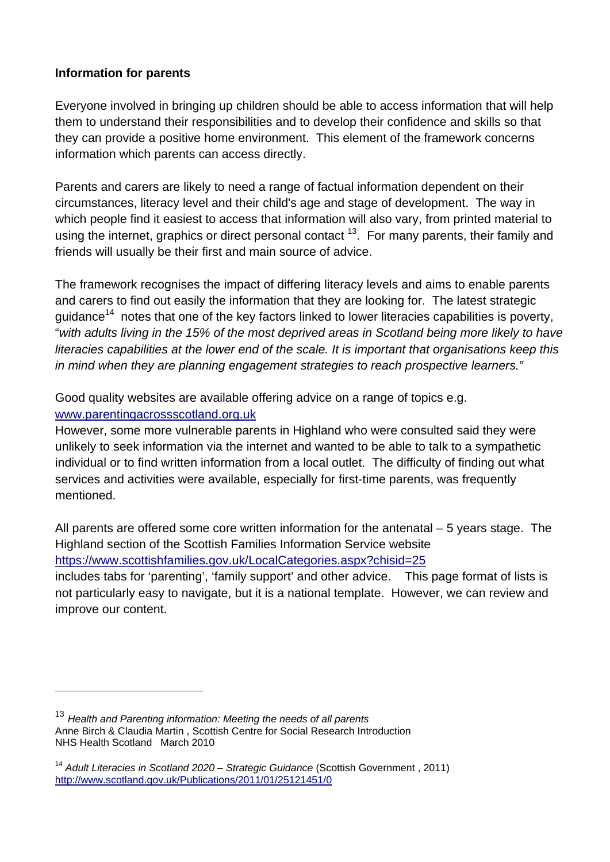## **Information for parents**

Everyone involved in bringing up children should be able to access information that will help them to understand their responsibilities and to develop their confidence and skills so that they can provide a positive home environment. This element of the framework concerns information which parents can access directly.

Parents and carers are likely to need a range of factual information dependent on their circumstances, literacy level and their child's age and stage of development. The way in which people find it easiest to access that information will also vary, from printed material to using the internet, graphics or direct personal contact  $13$ . For many parents, their family and friends will usually be their first and main source of advice.

The framework recognises the impact of differing literacy levels and aims to enable parents and carers to find out easily the information that they are looking for. The latest strategic quidance<sup>14</sup> notes that one of the key factors linked to lower literacies capabilities is poverty, "*with adults living in the 15% of the most deprived areas in Scotland being more likely to have literacies capabilities at the lower end of the scale. It is important that organisations keep this in mind when they are planning engagement strategies to reach prospective learners."* 

Good quality websites are available offering advice on a range of topics e.g. www.parentingacrossscotland.org.uk

However, some more vulnerable parents in Highland who were consulted said they were unlikely to seek information via the internet and wanted to be able to talk to a sympathetic individual or to find written information from a local outlet. The difficulty of finding out what services and activities were available, especially for first-time parents, was frequently mentioned.

All parents are offered some core written information for the antenatal – 5 years stage. The Highland section of the Scottish Families Information Service website https://www.scottishfamilies.gov.uk/LocalCategories.aspx?chisid=25 includes tabs for 'parenting', 'family support' and other advice. This page format of lists is not particularly easy to navigate, but it is a national template. However, we can review and improve our content.

<sup>13</sup> *Health and Parenting information: Meeting the needs of all parents*  Anne Birch & Claudia Martin , Scottish Centre for Social Research Introduction NHS Health Scotland March 2010

<sup>&</sup>lt;sup>14</sup> Adult Literacies in Scotland 2020 – Strategic Guidance (Scottish Government, 2011) http://www.scotland.gov.uk/Publications/2011/01/25121451/0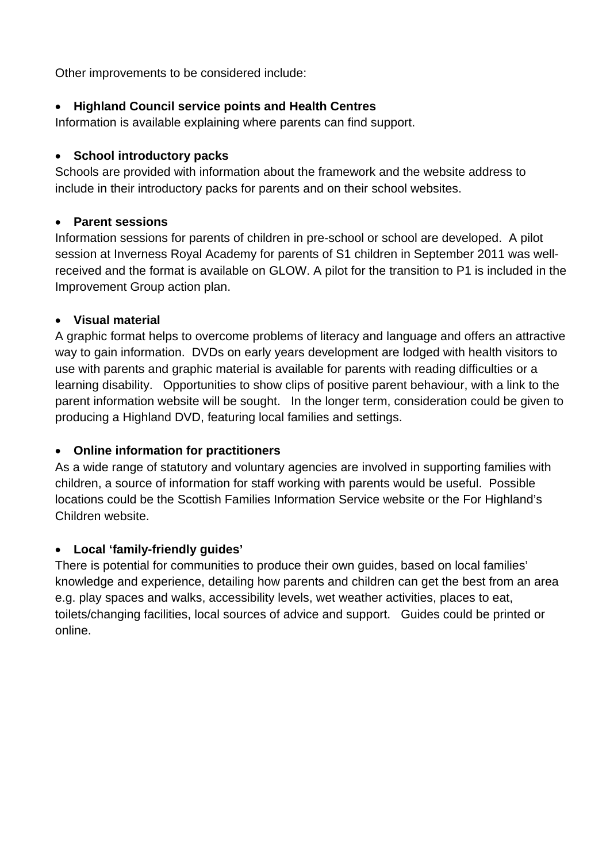Other improvements to be considered include:

### **Highland Council service points and Health Centres**

Information is available explaining where parents can find support.

#### **School introductory packs**

Schools are provided with information about the framework and the website address to include in their introductory packs for parents and on their school websites.

#### **Parent sessions**

Information sessions for parents of children in pre-school or school are developed. A pilot session at Inverness Royal Academy for parents of S1 children in September 2011 was wellreceived and the format is available on GLOW. A pilot for the transition to P1 is included in the Improvement Group action plan.

#### **Visual material**

A graphic format helps to overcome problems of literacy and language and offers an attractive way to gain information. DVDs on early years development are lodged with health visitors to use with parents and graphic material is available for parents with reading difficulties or a learning disability. Opportunities to show clips of positive parent behaviour, with a link to the parent information website will be sought. In the longer term, consideration could be given to producing a Highland DVD, featuring local families and settings.

## **Online information for practitioners**

As a wide range of statutory and voluntary agencies are involved in supporting families with children, a source of information for staff working with parents would be useful. Possible locations could be the Scottish Families Information Service website or the For Highland's Children website.

## **Local 'family-friendly guides'**

There is potential for communities to produce their own guides, based on local families' knowledge and experience, detailing how parents and children can get the best from an area e.g. play spaces and walks, accessibility levels, wet weather activities, places to eat, toilets/changing facilities, local sources of advice and support. Guides could be printed or online.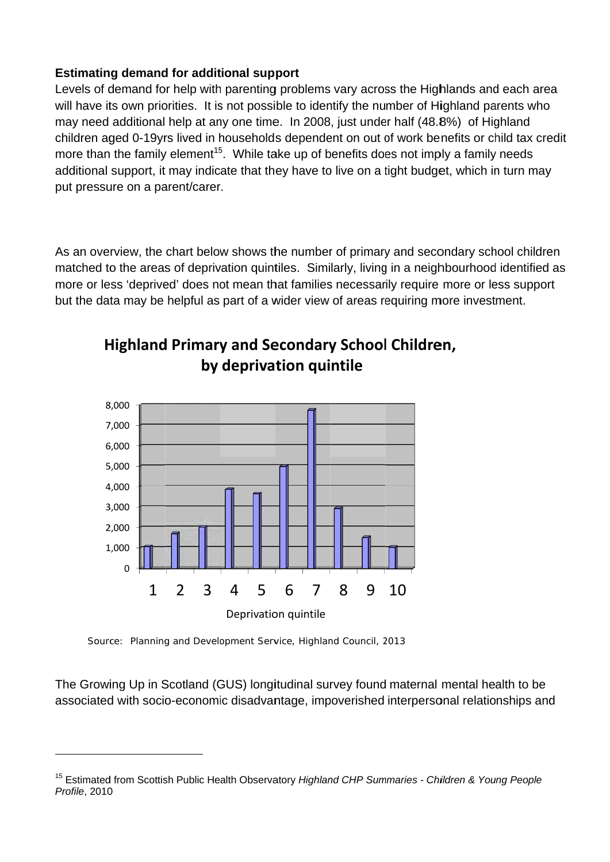#### **Estimating demand for additional support**

Levels of demand for help with parenting problems vary across the Highlands and each area will have its own priorities. It is not possible to identify the number of Highland parents who may need additional help at any one time. In 2008, just under half (48.8%) of Highland children aged 0-19yrs lived in households dependent on out of work benefits or child tax credit more than the family element<sup>15</sup>. While take up of benefits does not imply a family needs additional support, it may indicate that they have to live on a tight budget, which in turn may put pressure on a parent/carer. y<br>ren

As an overview, the chart below shows the number of primary and secondary school childre matched to the areas of deprivation quintiles. Similarly, living in a neighbourhood identified as more or less 'deprived' does not mean that families necessarily require more or less support but the data may be helpful as part of a wider view of areas requiring more investment.



# **Highland Primary and Secondary School Children, by depriva tion qui ntile**

Source: Planning and Development Service, Highland Council, 2013

The Growing Up in Scotland (GUS) longitudinal survey found maternal mental health to be associated with socio-economic disadvantage, impoverished interpersonal relationships and

<sup>&</sup>lt;sup>15</sup> Estimated from Scottish Public Health Observatory Highland CHP Summaries - Children & Young People *Profile*, 2010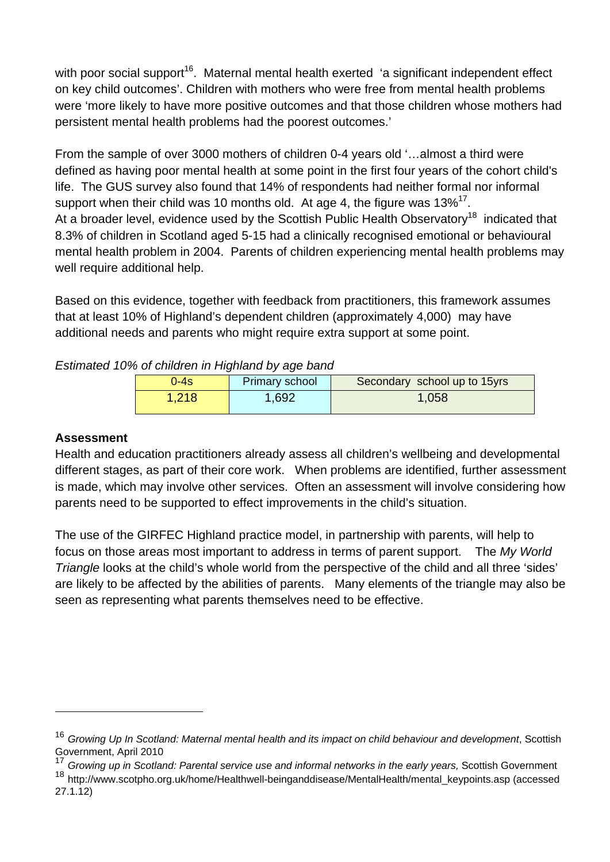with poor social support<sup>16</sup>. Maternal mental health exerted 'a significant independent effect on key child outcomes'. Children with mothers who were free from mental health problems were 'more likely to have more positive outcomes and that those children whose mothers had persistent mental health problems had the poorest outcomes.'

From the sample of over 3000 mothers of children 0-4 years old '…almost a third were defined as having poor mental health at some point in the first four years of the cohort child's life. The GUS survey also found that 14% of respondents had neither formal nor informal support when their child was 10 months old. At age 4, the figure was  $13\%^{17}$ . At a broader level, evidence used by the Scottish Public Health Observatory<sup>18</sup> indicated that 8.3% of children in Scotland aged 5-15 had a clinically recognised emotional or behavioural mental health problem in 2004. Parents of children experiencing mental health problems may well require additional help.

Based on this evidence, together with feedback from practitioners, this framework assumes that at least 10% of Highland's dependent children (approximately 4,000) may have additional needs and parents who might require extra support at some point.

| ่ 0-4s เ | <b>Primary school</b> | Secondary school up to 15yrs |  |
|----------|-----------------------|------------------------------|--|
| 1,218    | 1,692                 | 1,058                        |  |

*Estimated 10% of children in Highland by age band* 

## **Assessment**

Health and education practitioners already assess all children's wellbeing and developmental different stages, as part of their core work. When problems are identified, further assessment is made, which may involve other services. Often an assessment will involve considering how parents need to be supported to effect improvements in the child's situation.

The use of the GIRFEC Highland practice model, in partnership with parents, will help to focus on those areas most important to address in terms of parent support. The *My World Triangle* looks at the child's whole world from the perspective of the child and all three 'sides' are likely to be affected by the abilities of parents. Many elements of the triangle may also be seen as representing what parents themselves need to be effective.

<sup>16</sup> *Growing Up In Scotland: Maternal mental health and its impact on child behaviour and development*, Scottish Government, April 2010

<sup>17</sup> *Growing up in Scotland: Parental service use and informal networks in the early years,* Scottish Government

<sup>&</sup>lt;sup>18</sup> http://www.scotpho.org.uk/home/Healthwell-beinganddisease/MentalHealth/mental\_keypoints.asp (accessed 27.1.12)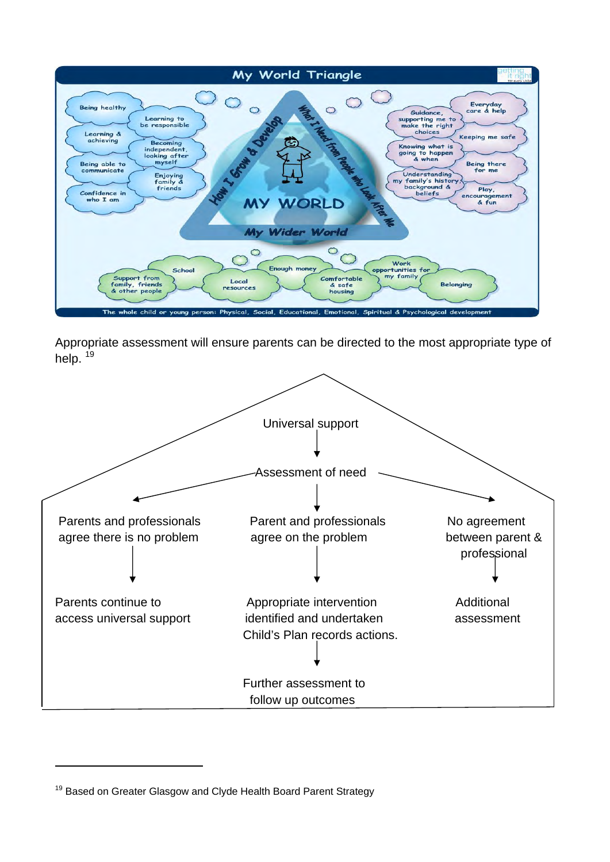

Appropriate assessment will ensure parents can be directed to the most appropriate type of help.<sup>19</sup>



<sup>&</sup>lt;sup>19</sup> Based on Greater Glasgow and Clyde Health Board Parent Strategy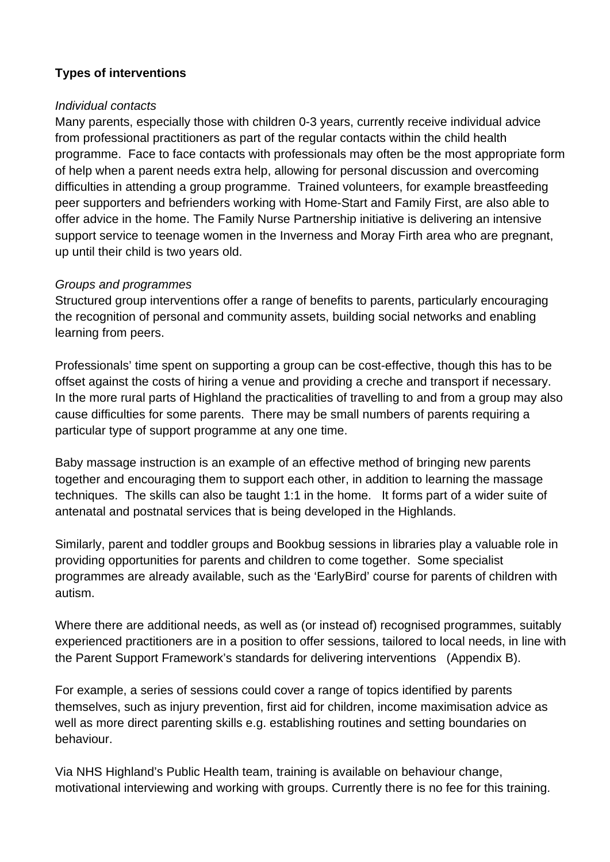## **Types of interventions**

### *Individual contacts*

Many parents, especially those with children 0-3 years, currently receive individual advice from professional practitioners as part of the regular contacts within the child health programme. Face to face contacts with professionals may often be the most appropriate form of help when a parent needs extra help, allowing for personal discussion and overcoming difficulties in attending a group programme. Trained volunteers, for example breastfeeding peer supporters and befrienders working with Home-Start and Family First, are also able to offer advice in the home. The Family Nurse Partnership initiative is delivering an intensive support service to teenage women in the Inverness and Moray Firth area who are pregnant, up until their child is two years old.

## *Groups and programmes*

Structured group interventions offer a range of benefits to parents, particularly encouraging the recognition of personal and community assets, building social networks and enabling learning from peers.

Professionals' time spent on supporting a group can be cost-effective, though this has to be offset against the costs of hiring a venue and providing a creche and transport if necessary. In the more rural parts of Highland the practicalities of travelling to and from a group may also cause difficulties for some parents. There may be small numbers of parents requiring a particular type of support programme at any one time.

Baby massage instruction is an example of an effective method of bringing new parents together and encouraging them to support each other, in addition to learning the massage techniques. The skills can also be taught 1:1 in the home. It forms part of a wider suite of antenatal and postnatal services that is being developed in the Highlands.

Similarly, parent and toddler groups and Bookbug sessions in libraries play a valuable role in providing opportunities for parents and children to come together. Some specialist programmes are already available, such as the 'EarlyBird' course for parents of children with autism.

Where there are additional needs, as well as (or instead of) recognised programmes, suitably experienced practitioners are in a position to offer sessions, tailored to local needs, in line with the Parent Support Framework's standards for delivering interventions (Appendix B).

For example, a series of sessions could cover a range of topics identified by parents themselves, such as injury prevention, first aid for children, income maximisation advice as well as more direct parenting skills e.g. establishing routines and setting boundaries on behaviour.

Via NHS Highland's Public Health team, training is available on behaviour change, motivational interviewing and working with groups. Currently there is no fee for this training.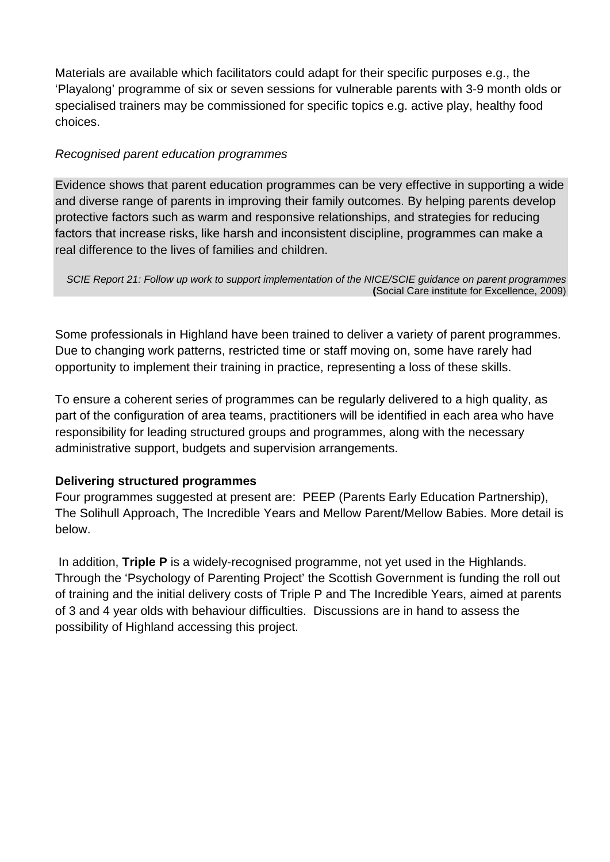Materials are available which facilitators could adapt for their specific purposes e.g., the 'Playalong' programme of six or seven sessions for vulnerable parents with 3-9 month olds or specialised trainers may be commissioned for specific topics e.g. active play, healthy food choices.

## *Recognised parent education programmes*

Evidence shows that parent education programmes can be very effective in supporting a wide and diverse range of parents in improving their family outcomes. By helping parents develop protective factors such as warm and responsive relationships, and strategies for reducing factors that increase risks, like harsh and inconsistent discipline, programmes can make a real difference to the lives of families and children.

*SCIE Report 21: Follow up work to support implementation of the NICE/SCIE guidance on parent programmes*  **(**Social Care institute for Excellence, 2009)

Some professionals in Highland have been trained to deliver a variety of parent programmes. Due to changing work patterns, restricted time or staff moving on, some have rarely had opportunity to implement their training in practice, representing a loss of these skills.

To ensure a coherent series of programmes can be regularly delivered to a high quality, as part of the configuration of area teams, practitioners will be identified in each area who have responsibility for leading structured groups and programmes, along with the necessary administrative support, budgets and supervision arrangements.

## **Delivering structured programmes**

Four programmes suggested at present are: PEEP (Parents Early Education Partnership), The Solihull Approach, The Incredible Years and Mellow Parent/Mellow Babies. More detail is below.

 In addition, **Triple P** is a widely-recognised programme, not yet used in the Highlands. Through the 'Psychology of Parenting Project' the Scottish Government is funding the roll out of training and the initial delivery costs of Triple P and The Incredible Years, aimed at parents of 3 and 4 year olds with behaviour difficulties. Discussions are in hand to assess the possibility of Highland accessing this project.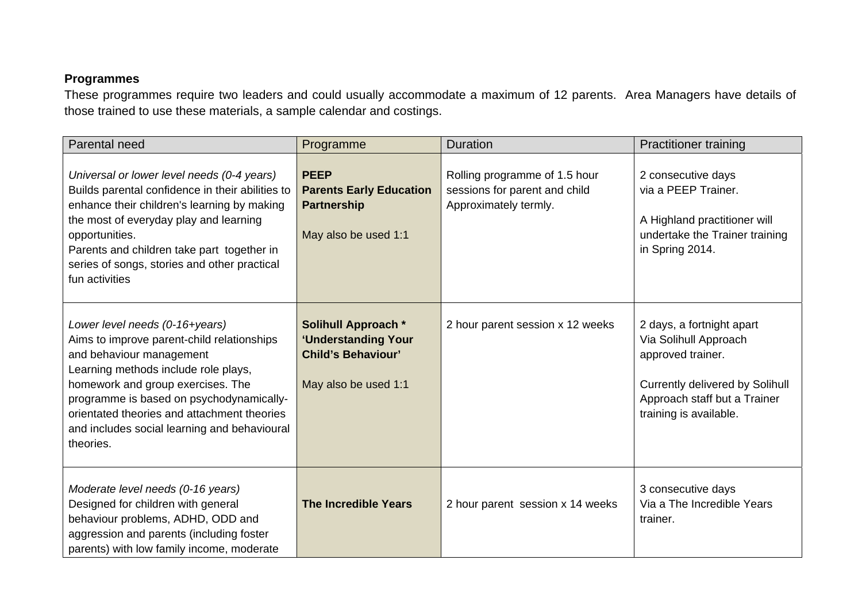## **Programmes**

These programmes require two leaders and could usually accommodate a maximum of 12 parents. Area Managers have details of those trained to use these materials, a sample calendar and costings.

| Parental need                                                                                                                                                                                                                                                                                                                                 | Programme                                                                                              | <b>Duration</b>                                                                         | <b>Practitioner training</b>                                                                                                                                                |
|-----------------------------------------------------------------------------------------------------------------------------------------------------------------------------------------------------------------------------------------------------------------------------------------------------------------------------------------------|--------------------------------------------------------------------------------------------------------|-----------------------------------------------------------------------------------------|-----------------------------------------------------------------------------------------------------------------------------------------------------------------------------|
| Universal or lower level needs (0-4 years)<br>Builds parental confidence in their abilities to<br>enhance their children's learning by making<br>the most of everyday play and learning<br>opportunities.<br>Parents and children take part together in<br>series of songs, stories and other practical<br>fun activities                     | <b>PEEP</b><br><b>Parents Early Education</b><br><b>Partnership</b><br>May also be used 1:1            | Rolling programme of 1.5 hour<br>sessions for parent and child<br>Approximately termly. | 2 consecutive days<br>via a PEEP Trainer.<br>A Highland practitioner will<br>undertake the Trainer training<br>in Spring 2014.                                              |
| Lower level needs (0-16+years)<br>Aims to improve parent-child relationships<br>and behaviour management<br>Learning methods include role plays,<br>homework and group exercises. The<br>programme is based on psychodynamically-<br>orientated theories and attachment theories<br>and includes social learning and behavioural<br>theories. | <b>Solihull Approach *</b><br>'Understanding Your<br><b>Child's Behaviour'</b><br>May also be used 1:1 | 2 hour parent session x 12 weeks                                                        | 2 days, a fortnight apart<br>Via Solihull Approach<br>approved trainer.<br><b>Currently delivered by Solihull</b><br>Approach staff but a Trainer<br>training is available. |
| Moderate level needs (0-16 years)<br>Designed for children with general<br>behaviour problems, ADHD, ODD and<br>aggression and parents (including foster<br>parents) with low family income, moderate                                                                                                                                         | <b>The Incredible Years</b>                                                                            | 2 hour parent session x 14 weeks                                                        | 3 consecutive days<br>Via a The Incredible Years<br>trainer.                                                                                                                |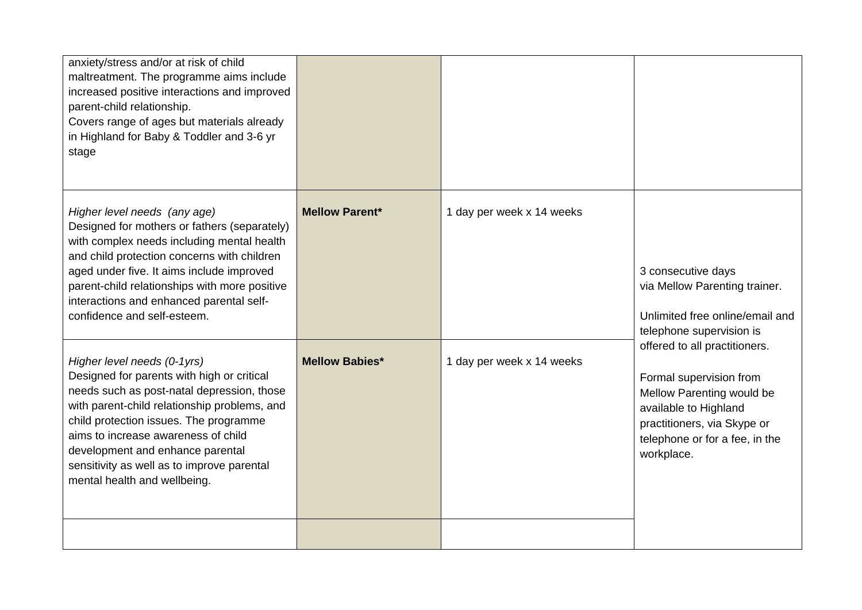| anxiety/stress and/or at risk of child<br>maltreatment. The programme aims include<br>increased positive interactions and improved<br>parent-child relationship.<br>Covers range of ages but materials already<br>in Highland for Baby & Toddler and 3-6 yr<br>stage                                                                                                       |                       |                           |                                                                                                                                                                                               |
|----------------------------------------------------------------------------------------------------------------------------------------------------------------------------------------------------------------------------------------------------------------------------------------------------------------------------------------------------------------------------|-----------------------|---------------------------|-----------------------------------------------------------------------------------------------------------------------------------------------------------------------------------------------|
| Higher level needs (any age)<br>Designed for mothers or fathers (separately)<br>with complex needs including mental health<br>and child protection concerns with children<br>aged under five. It aims include improved<br>parent-child relationships with more positive<br>interactions and enhanced parental self-<br>confidence and self-esteem.                         | <b>Mellow Parent*</b> | 1 day per week x 14 weeks | 3 consecutive days<br>via Mellow Parenting trainer.<br>Unlimited free online/email and<br>telephone supervision is                                                                            |
| Higher level needs (0-1yrs)<br>Designed for parents with high or critical<br>needs such as post-natal depression, those<br>with parent-child relationship problems, and<br>child protection issues. The programme<br>aims to increase awareness of child<br>development and enhance parental<br>sensitivity as well as to improve parental<br>mental health and wellbeing. | <b>Mellow Babies*</b> | 1 day per week x 14 weeks | offered to all practitioners.<br>Formal supervision from<br>Mellow Parenting would be<br>available to Highland<br>practitioners, via Skype or<br>telephone or for a fee, in the<br>workplace. |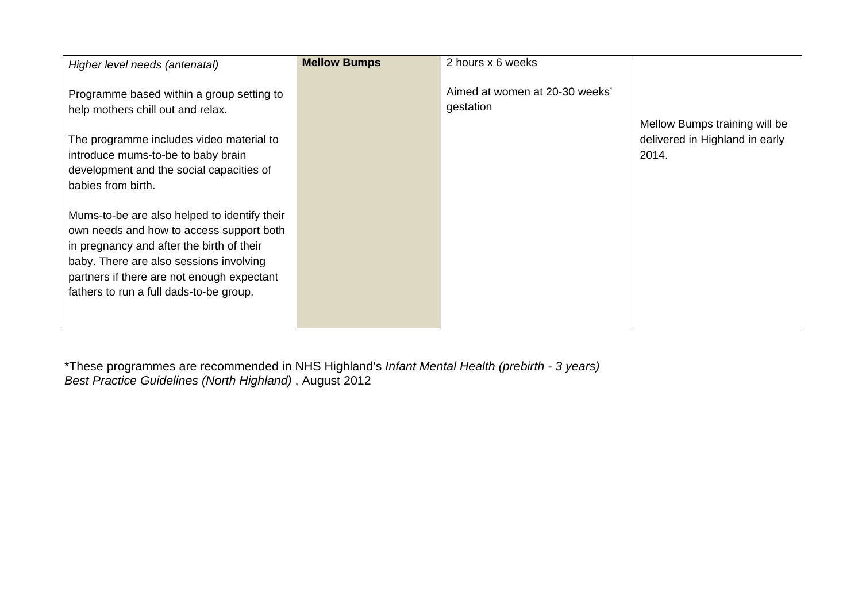| Higher level needs (antenatal)                                                                                                                                                                                                                                            | <b>Mellow Bumps</b> | 2 hours x 6 weeks                           |                                                                          |
|---------------------------------------------------------------------------------------------------------------------------------------------------------------------------------------------------------------------------------------------------------------------------|---------------------|---------------------------------------------|--------------------------------------------------------------------------|
| Programme based within a group setting to<br>help mothers chill out and relax.<br>The programme includes video material to<br>introduce mums-to-be to baby brain<br>development and the social capacities of<br>babies from birth.                                        |                     | Aimed at women at 20-30 weeks'<br>gestation | Mellow Bumps training will be<br>delivered in Highland in early<br>2014. |
| Mums-to-be are also helped to identify their<br>own needs and how to access support both<br>in pregnancy and after the birth of their<br>baby. There are also sessions involving<br>partners if there are not enough expectant<br>fathers to run a full dads-to-be group. |                     |                                             |                                                                          |

\*These programmes are recommended in NHS Highland's *Infant Mental Health (prebirth - 3 years) Best Practice Guidelines (North Highland)* , August 2012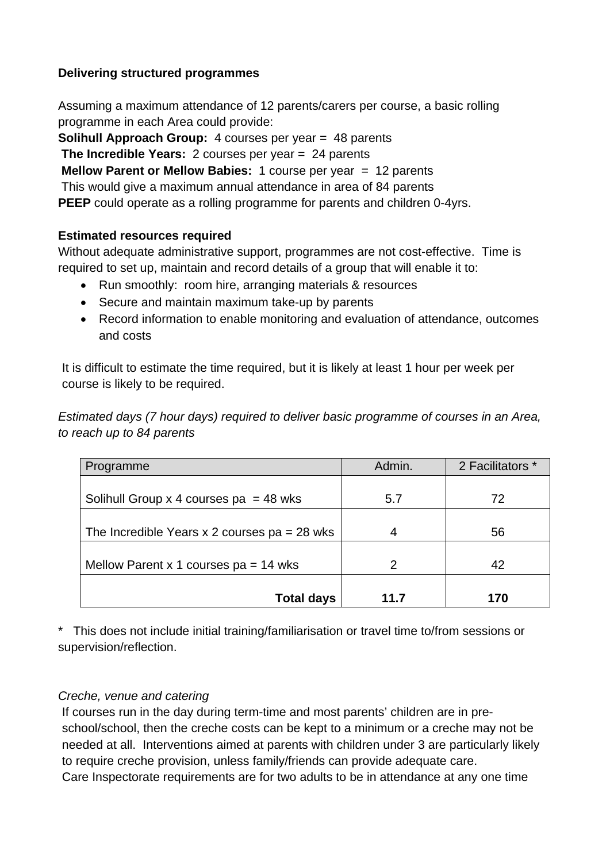## **Delivering structured programmes**

Assuming a maximum attendance of 12 parents/carers per course, a basic rolling programme in each Area could provide:

**Solihull Approach Group:** 4 courses per year = 48 parents

**The Incredible Years:** 2 courses per year = 24 parents

**Mellow Parent or Mellow Babies:** 1 course per year = 12 parents

This would give a maximum annual attendance in area of 84 parents

**PEEP** could operate as a rolling programme for parents and children 0-4yrs.

## **Estimated resources required**

Without adequate administrative support, programmes are not cost-effective. Time is required to set up, maintain and record details of a group that will enable it to:

- Run smoothly: room hire, arranging materials & resources
- Secure and maintain maximum take-up by parents
- Record information to enable monitoring and evaluation of attendance, outcomes and costs

It is difficult to estimate the time required, but it is likely at least 1 hour per week per course is likely to be required.

*Estimated days (7 hour days) required to deliver basic programme of courses in an Area, to reach up to 84 parents* 

| Programme                                      | Admin. | 2 Facilitators * |
|------------------------------------------------|--------|------------------|
|                                                |        |                  |
| Solihull Group x 4 courses $pa = 48$ wks       | 5.7    | 72               |
|                                                |        |                  |
| The Incredible Years x 2 courses $pa = 28$ wks |        | 56               |
|                                                |        |                  |
| Mellow Parent x 1 courses $pa = 14$ wks        | 2      | 42               |
|                                                |        |                  |
| <b>Total days</b>                              | 11.7   | 170              |

\* This does not include initial training/familiarisation or travel time to/from sessions or supervision/reflection.

## *Creche, venue and catering*

If courses run in the day during term-time and most parents' children are in preschool/school, then the creche costs can be kept to a minimum or a creche may not be needed at all. Interventions aimed at parents with children under 3 are particularly likely to require creche provision, unless family/friends can provide adequate care. Care Inspectorate requirements are for two adults to be in attendance at any one time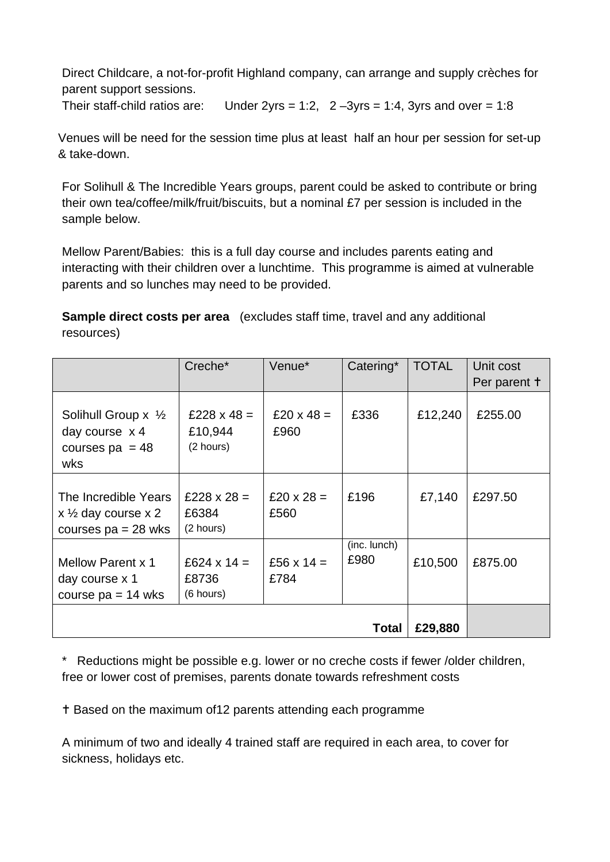Direct Childcare, a not-for-profit Highland company, can arrange and supply crèches for parent support sessions.

Their staff-child ratios are: Under 2yrs = 1:2,  $2 - 3yrs = 1:4$ , 3yrs and over = 1:8

Venues will be need for the session time plus at least half an hour per session for set-up & take-down.

For Solihull & The Incredible Years groups, parent could be asked to contribute or bring their own tea/coffee/milk/fruit/biscuits, but a nominal £7 per session is included in the sample below.

Mellow Parent/Babies: this is a full day course and includes parents eating and interacting with their children over a lunchtime. This programme is aimed at vulnerable parents and so lunches may need to be provided.

**Sample direct costs per area** (excludes staff time, travel and any additional resources)

|                                                                                 | Creche*                                    | Venue*                    | Catering*            | <b>TOTAL</b> | Unit cost<br>Per parent + |
|---------------------------------------------------------------------------------|--------------------------------------------|---------------------------|----------------------|--------------|---------------------------|
| Solihull Group $x \frac{1}{2}$<br>day course $x$ 4<br>courses $pa = 48$<br>wks  | £228 $\times$ 48 =<br>£10,944<br>(2 hours) | £20 $\times$ 48 =<br>£960 | £336                 | £12,240      | £255.00                   |
| The Incredible Years<br>x $\frac{1}{2}$ day course x 2<br>courses $pa = 28$ wks | £228 $\times$ 28 =<br>£6384<br>(2 hours)   | £20 $\times$ 28 =<br>£560 | £196                 | £7,140       | £297.50                   |
| <b>Mellow Parent x 1</b><br>day course x 1<br>course $pa = 14$ wks              | £624 x 14 =<br>£8736<br>(6 hours)          | £56 $x$ 14 =<br>£784      | (inc. lunch)<br>£980 | £10,500      | £875.00                   |
|                                                                                 |                                            |                           | Total                | £29,880      |                           |

\* Reductions might be possible e.g. lower or no creche costs if fewer /older children, free or lower cost of premises, parents donate towards refreshment costs

Based on the maximum of12 parents attending each programme

A minimum of two and ideally 4 trained staff are required in each area, to cover for sickness, holidays etc.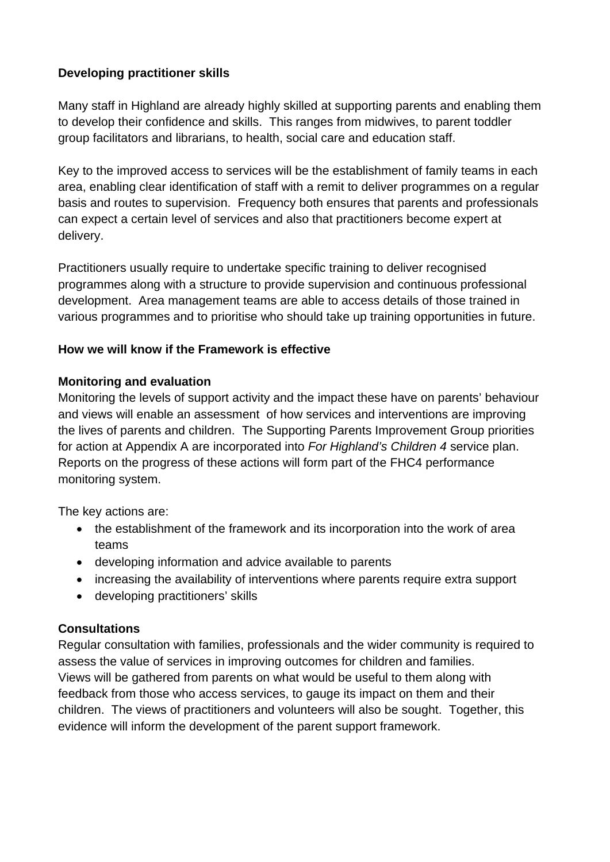## **Developing practitioner skills**

Many staff in Highland are already highly skilled at supporting parents and enabling them to develop their confidence and skills. This ranges from midwives, to parent toddler group facilitators and librarians, to health, social care and education staff.

Key to the improved access to services will be the establishment of family teams in each area, enabling clear identification of staff with a remit to deliver programmes on a regular basis and routes to supervision. Frequency both ensures that parents and professionals can expect a certain level of services and also that practitioners become expert at delivery.

Practitioners usually require to undertake specific training to deliver recognised programmes along with a structure to provide supervision and continuous professional development. Area management teams are able to access details of those trained in various programmes and to prioritise who should take up training opportunities in future.

## **How we will know if the Framework is effective**

## **Monitoring and evaluation**

Monitoring the levels of support activity and the impact these have on parents' behaviour and views will enable an assessment of how services and interventions are improving the lives of parents and children. The Supporting Parents Improvement Group priorities for action at Appendix A are incorporated into *For Highland's Children 4* service plan. Reports on the progress of these actions will form part of the FHC4 performance monitoring system.

The key actions are:

- the establishment of the framework and its incorporation into the work of area teams
- developing information and advice available to parents
- increasing the availability of interventions where parents require extra support
- developing practitioners' skills

## **Consultations**

Regular consultation with families, professionals and the wider community is required to assess the value of services in improving outcomes for children and families. Views will be gathered from parents on what would be useful to them along with feedback from those who access services, to gauge its impact on them and their children. The views of practitioners and volunteers will also be sought. Together, this evidence will inform the development of the parent support framework.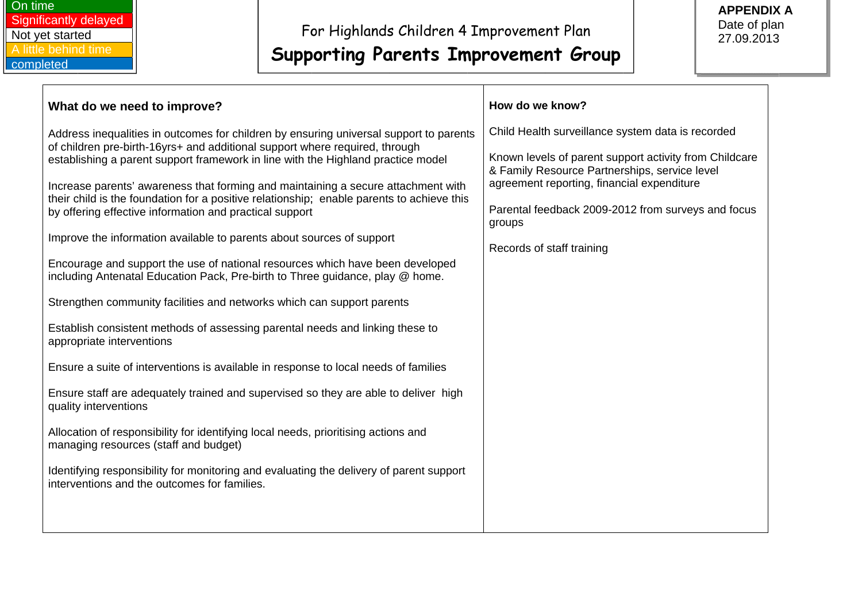| Child Health surveillance system data is recorded<br>Known levels of parent support activity from Childcare<br>& Family Resource Partnerships, service level<br>agreement reporting, financial expenditure<br>Parental feedback 2009-2012 from surveys and focus<br>groups<br>Records of staff training | What do we need to improve?                                                                                                                                                                                                                                                                                                                                                                                                                                                                                                                                                                                                                                                                                                                                                                                                                                                                                                                                                                                                                                                                                                                                                                                                                                                                                                                                                                                                | How do we know? |
|---------------------------------------------------------------------------------------------------------------------------------------------------------------------------------------------------------------------------------------------------------------------------------------------------------|----------------------------------------------------------------------------------------------------------------------------------------------------------------------------------------------------------------------------------------------------------------------------------------------------------------------------------------------------------------------------------------------------------------------------------------------------------------------------------------------------------------------------------------------------------------------------------------------------------------------------------------------------------------------------------------------------------------------------------------------------------------------------------------------------------------------------------------------------------------------------------------------------------------------------------------------------------------------------------------------------------------------------------------------------------------------------------------------------------------------------------------------------------------------------------------------------------------------------------------------------------------------------------------------------------------------------------------------------------------------------------------------------------------------------|-----------------|
|                                                                                                                                                                                                                                                                                                         | Address inequalities in outcomes for children by ensuring universal support to parents<br>of children pre-birth-16yrs+ and additional support where required, through<br>establishing a parent support framework in line with the Highland practice model<br>Increase parents' awareness that forming and maintaining a secure attachment with<br>their child is the foundation for a positive relationship; enable parents to achieve this<br>by offering effective information and practical support<br>Improve the information available to parents about sources of support<br>Encourage and support the use of national resources which have been developed<br>including Antenatal Education Pack, Pre-birth to Three guidance, play @ home.<br>Strengthen community facilities and networks which can support parents<br>Establish consistent methods of assessing parental needs and linking these to<br>appropriate interventions<br>Ensure a suite of interventions is available in response to local needs of families<br>Ensure staff are adequately trained and supervised so they are able to deliver high<br>quality interventions<br>Allocation of responsibility for identifying local needs, prioritising actions and<br>managing resources (staff and budget)<br>Identifying responsibility for monitoring and evaluating the delivery of parent support<br>interventions and the outcomes for families. |                 |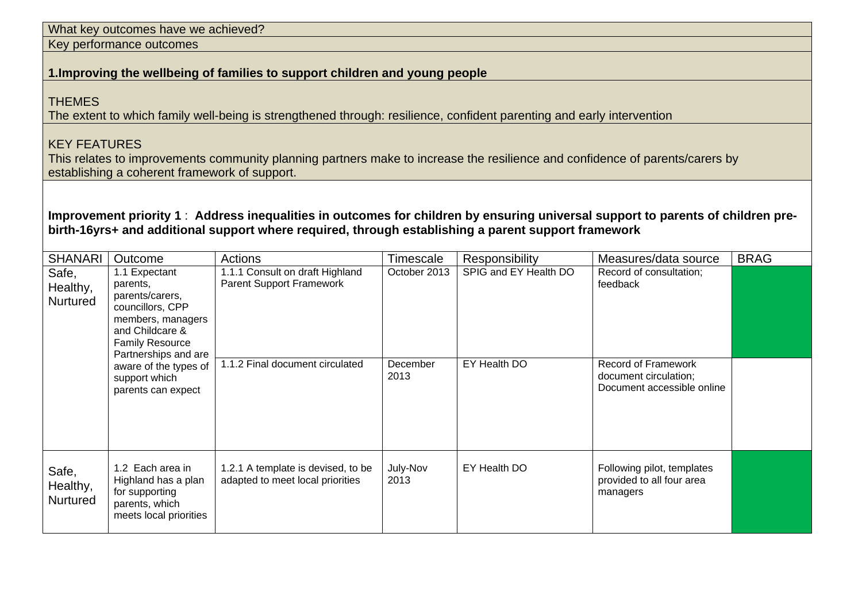| What key outcomes have we achieved?                                                                                                                                                                                                    |                                                                                                                                                            |                                                                                                                              |                  |                       |                                                                                   |             |  |
|----------------------------------------------------------------------------------------------------------------------------------------------------------------------------------------------------------------------------------------|------------------------------------------------------------------------------------------------------------------------------------------------------------|------------------------------------------------------------------------------------------------------------------------------|------------------|-----------------------|-----------------------------------------------------------------------------------|-------------|--|
| Key performance outcomes                                                                                                                                                                                                               |                                                                                                                                                            |                                                                                                                              |                  |                       |                                                                                   |             |  |
|                                                                                                                                                                                                                                        |                                                                                                                                                            | 1. Improving the wellbeing of families to support children and young people                                                  |                  |                       |                                                                                   |             |  |
| <b>THEMES</b>                                                                                                                                                                                                                          |                                                                                                                                                            | The extent to which family well-being is strengthened through: resilience, confident parenting and early intervention        |                  |                       |                                                                                   |             |  |
| <b>KEY FEATURES</b>                                                                                                                                                                                                                    | establishing a coherent framework of support.                                                                                                              | This relates to improvements community planning partners make to increase the resilience and confidence of parents/carers by |                  |                       |                                                                                   |             |  |
| Improvement priority 1: Address inequalities in outcomes for children by ensuring universal support to parents of children pre-<br>birth-16yrs+ and additional support where required, through establishing a parent support framework |                                                                                                                                                            |                                                                                                                              |                  |                       |                                                                                   |             |  |
| <b>SHANARI</b>                                                                                                                                                                                                                         | Outcome                                                                                                                                                    | Actions                                                                                                                      | Timescale        | Responsibility        | Measures/data source                                                              | <b>BRAG</b> |  |
| Safe,<br>Healthy,<br>Nurtured                                                                                                                                                                                                          | 1.1 Expectant<br>parents,<br>parents/carers,<br>councillors, CPP<br>members, managers<br>and Childcare &<br><b>Family Resource</b><br>Partnerships and are | 1.1.1 Consult on draft Highland<br><b>Parent Support Framework</b>                                                           | October 2013     | SPIG and EY Health DO | Record of consultation;<br>feedback                                               |             |  |
|                                                                                                                                                                                                                                        | aware of the types of<br>support which<br>parents can expect                                                                                               | 1.1.2 Final document circulated                                                                                              | December<br>2013 | EY Health DO          | <b>Record of Framework</b><br>document circulation;<br>Document accessible online |             |  |
| Safe,<br>Healthy,<br>Nurtured                                                                                                                                                                                                          | 1.2 Each area in<br>Highland has a plan<br>for supporting<br>parents, which<br>meets local priorities                                                      | 1.2.1 A template is devised, to be<br>adapted to meet local priorities                                                       | July-Nov<br>2013 | EY Health DO          | Following pilot, templates<br>provided to all four area<br>managers               |             |  |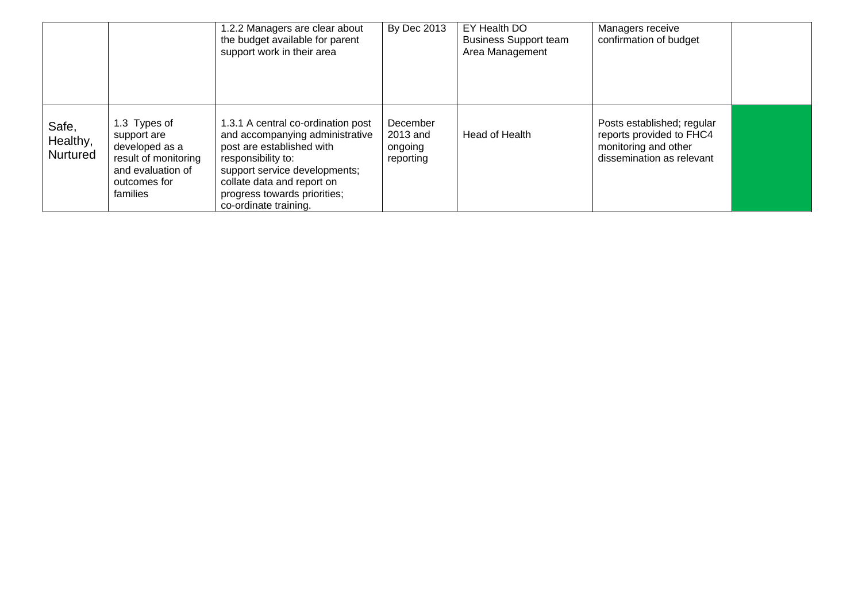|                               |                                                                                                                        | 1.2.2 Managers are clear about<br>the budget available for parent<br>support work in their area                                                                                                                                                  | <b>By Dec 2013</b>                           | EY Health DO<br><b>Business Support team</b><br>Area Management | Managers receive<br>confirmation of budget                                                                  |  |
|-------------------------------|------------------------------------------------------------------------------------------------------------------------|--------------------------------------------------------------------------------------------------------------------------------------------------------------------------------------------------------------------------------------------------|----------------------------------------------|-----------------------------------------------------------------|-------------------------------------------------------------------------------------------------------------|--|
| Safe,<br>Healthy,<br>Nurtured | 1.3 Types of<br>support are<br>developed as a<br>result of monitoring<br>and evaluation of<br>outcomes for<br>families | 1.3.1 A central co-ordination post<br>and accompanying administrative<br>post are established with<br>responsibility to:<br>support service developments;<br>collate data and report on<br>progress towards priorities;<br>co-ordinate training. | December<br>2013 and<br>ongoing<br>reporting | Head of Health                                                  | Posts established; regular<br>reports provided to FHC4<br>monitoring and other<br>dissemination as relevant |  |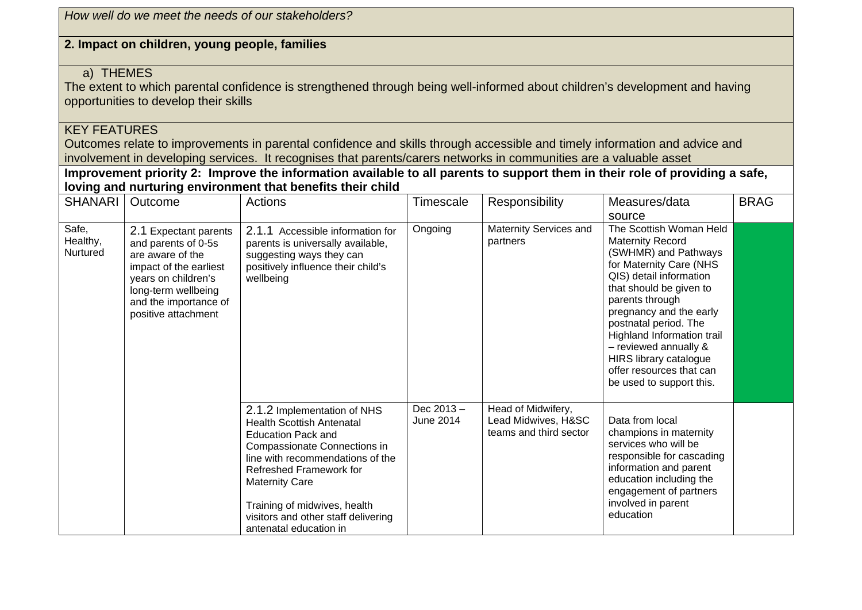| How well do we meet the needs of our stakeholders?                                                                                                                                                                                                                                                                                                                                                                                                           |                                                                                                                                                                                          |                                                                                                                                                                                                                                                                                                                       |                           |                                                                     |                                                                                                                                                                                                                                                                                                                                                                                  |             |  |
|--------------------------------------------------------------------------------------------------------------------------------------------------------------------------------------------------------------------------------------------------------------------------------------------------------------------------------------------------------------------------------------------------------------------------------------------------------------|------------------------------------------------------------------------------------------------------------------------------------------------------------------------------------------|-----------------------------------------------------------------------------------------------------------------------------------------------------------------------------------------------------------------------------------------------------------------------------------------------------------------------|---------------------------|---------------------------------------------------------------------|----------------------------------------------------------------------------------------------------------------------------------------------------------------------------------------------------------------------------------------------------------------------------------------------------------------------------------------------------------------------------------|-------------|--|
|                                                                                                                                                                                                                                                                                                                                                                                                                                                              | 2. Impact on children, young people, families                                                                                                                                            |                                                                                                                                                                                                                                                                                                                       |                           |                                                                     |                                                                                                                                                                                                                                                                                                                                                                                  |             |  |
| a) THEMES<br>The extent to which parental confidence is strengthened through being well-informed about children's development and having<br>opportunities to develop their skills<br><b>KEY FEATURES</b><br>Outcomes relate to improvements in parental confidence and skills through accessible and timely information and advice and<br>involvement in developing services. It recognises that parents/carers networks in communities are a valuable asset |                                                                                                                                                                                          |                                                                                                                                                                                                                                                                                                                       |                           |                                                                     |                                                                                                                                                                                                                                                                                                                                                                                  |             |  |
|                                                                                                                                                                                                                                                                                                                                                                                                                                                              |                                                                                                                                                                                          | Improvement priority 2: Improve the information available to all parents to support them in their role of providing a safe,<br>loving and nurturing environment that benefits their child                                                                                                                             |                           |                                                                     |                                                                                                                                                                                                                                                                                                                                                                                  |             |  |
| <b>SHANARI</b>                                                                                                                                                                                                                                                                                                                                                                                                                                               | Outcome                                                                                                                                                                                  | Actions                                                                                                                                                                                                                                                                                                               | Timescale                 | Responsibility                                                      | Measures/data<br>source                                                                                                                                                                                                                                                                                                                                                          | <b>BRAG</b> |  |
| Safe,<br>Healthy,<br>Nurtured                                                                                                                                                                                                                                                                                                                                                                                                                                | 2.1 Expectant parents<br>and parents of 0-5s<br>are aware of the<br>impact of the earliest<br>years on children's<br>long-term wellbeing<br>and the importance of<br>positive attachment | 2.1.1 Accessible information for<br>parents is universally available,<br>suggesting ways they can<br>positively influence their child's<br>wellbeing                                                                                                                                                                  | Ongoing                   | Maternity Services and<br>partners                                  | The Scottish Woman Held<br><b>Maternity Record</b><br>(SWHMR) and Pathways<br>for Maternity Care (NHS<br>QIS) detail information<br>that should be given to<br>parents through<br>pregnancy and the early<br>postnatal period. The<br>Highland Information trail<br>$-$ reviewed annually $\&$<br>HIRS library catalogue<br>offer resources that can<br>be used to support this. |             |  |
|                                                                                                                                                                                                                                                                                                                                                                                                                                                              |                                                                                                                                                                                          | 2.1.2 Implementation of NHS<br><b>Health Scottish Antenatal</b><br><b>Education Pack and</b><br>Compassionate Connections in<br>line with recommendations of the<br>Refreshed Framework for<br><b>Maternity Care</b><br>Training of midwives, health<br>visitors and other staff delivering<br>antenatal education in | Dec $2013 -$<br>June 2014 | Head of Midwifery,<br>Lead Midwives, H&SC<br>teams and third sector | Data from local<br>champions in maternity<br>services who will be<br>responsible for cascading<br>information and parent<br>education including the<br>engagement of partners<br>involved in parent<br>education                                                                                                                                                                 |             |  |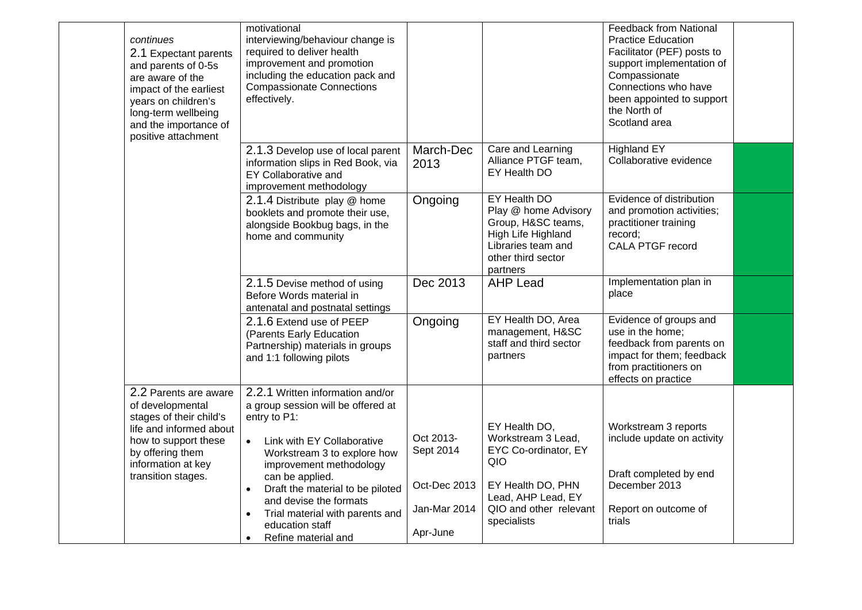| continues<br>2.1 Expectant parents<br>and parents of 0-5s<br>are aware of the<br>impact of the earliest<br>years on children's<br>long-term wellbeing<br>and the importance of<br>positive attachment | motivational<br>interviewing/behaviour change is<br>required to deliver health<br>improvement and promotion<br>including the education pack and<br><b>Compassionate Connections</b><br>effectively. |                                          |                                                                                                                                          | <b>Feedback from National</b><br><b>Practice Education</b><br>Facilitator (PEF) posts to<br>support implementation of<br>Compassionate<br>Connections who have<br>been appointed to support<br>the North of<br>Scotland area |  |
|-------------------------------------------------------------------------------------------------------------------------------------------------------------------------------------------------------|-----------------------------------------------------------------------------------------------------------------------------------------------------------------------------------------------------|------------------------------------------|------------------------------------------------------------------------------------------------------------------------------------------|------------------------------------------------------------------------------------------------------------------------------------------------------------------------------------------------------------------------------|--|
|                                                                                                                                                                                                       | 2.1.3 Develop use of local parent<br>information slips in Red Book, via<br><b>EY Collaborative and</b><br>improvement methodology                                                                   | March-Dec<br>2013                        | Care and Learning<br>Alliance PTGF team,<br>EY Health DO                                                                                 | <b>Highland EY</b><br>Collaborative evidence                                                                                                                                                                                 |  |
|                                                                                                                                                                                                       | 2.1.4 Distribute play @ home<br>booklets and promote their use,<br>alongside Bookbug bags, in the<br>home and community                                                                             | Ongoing                                  | EY Health DO<br>Play @ home Advisory<br>Group, H&SC teams,<br>High Life Highland<br>Libraries team and<br>other third sector<br>partners | Evidence of distribution<br>and promotion activities;<br>practitioner training<br>record;<br><b>CALA PTGF record</b>                                                                                                         |  |
|                                                                                                                                                                                                       | 2.1.5 Devise method of using<br>Before Words material in<br>antenatal and postnatal settings                                                                                                        | Dec 2013                                 | <b>AHP Lead</b>                                                                                                                          | Implementation plan in<br>place                                                                                                                                                                                              |  |
|                                                                                                                                                                                                       | 2.1.6 Extend use of PEEP<br>(Parents Early Education<br>Partnership) materials in groups<br>and 1:1 following pilots                                                                                | Ongoing                                  | EY Health DO, Area<br>management, H&SC<br>staff and third sector<br>partners                                                             | Evidence of groups and<br>use in the home;<br>feedback from parents on<br>impact for them; feedback<br>from practitioners on<br>effects on practice                                                                          |  |
| 2.2 Parents are aware<br>of developmental<br>stages of their child's<br>life and informed about<br>how to support these<br>by offering them<br>information at key                                     | 2.2.1 Written information and/or<br>a group session will be offered at<br>entry to P1:<br>Link with EY Collaborative<br>$\bullet$<br>Workstream 3 to explore how<br>improvement methodology         | Oct 2013-<br>Sept 2014                   | EY Health DO,<br>Workstream 3 Lead,<br>EYC Co-ordinator, EY<br>QIO                                                                       | Workstream 3 reports<br>include update on activity                                                                                                                                                                           |  |
| transition stages.                                                                                                                                                                                    | can be applied.<br>Draft the material to be piloted<br>$\bullet$<br>and devise the formats<br>Trial material with parents and<br>$\bullet$<br>education staff<br>Refine material and<br>$\bullet$   | Oct-Dec 2013<br>Jan-Mar 2014<br>Apr-June | EY Health DO, PHN<br>Lead, AHP Lead, EY<br>QIO and other relevant<br>specialists                                                         | Draft completed by end<br>December 2013<br>Report on outcome of<br>trials                                                                                                                                                    |  |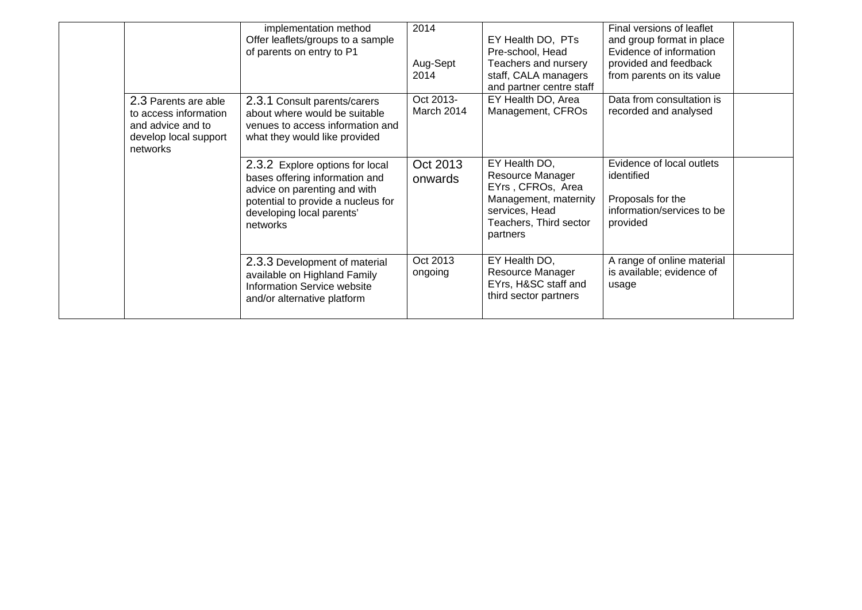|                                                                                                         | implementation method<br>Offer leaflets/groups to a sample<br>of parents on entry to P1                                                                                          | 2014<br>Aug-Sept<br>2014 | EY Health DO, PTs<br>Pre-school, Head<br>Teachers and nursery<br>staff, CALA managers<br>and partner centre staff                       | Final versions of leaflet<br>and group format in place<br>Evidence of information<br>provided and feedback<br>from parents on its value |  |
|---------------------------------------------------------------------------------------------------------|----------------------------------------------------------------------------------------------------------------------------------------------------------------------------------|--------------------------|-----------------------------------------------------------------------------------------------------------------------------------------|-----------------------------------------------------------------------------------------------------------------------------------------|--|
| 2.3 Parents are able<br>to access information<br>and advice and to<br>develop local support<br>networks | 2.3.1 Consult parents/carers<br>about where would be suitable<br>venues to access information and<br>what they would like provided                                               | Oct 2013-<br>March 2014  | EY Health DO, Area<br>Management, CFROs                                                                                                 | Data from consultation is<br>recorded and analysed                                                                                      |  |
|                                                                                                         | 2.3.2 Explore options for local<br>bases offering information and<br>advice on parenting and with<br>potential to provide a nucleus for<br>developing local parents'<br>networks | Oct 2013<br>onwards      | EY Health DO,<br>Resource Manager<br>EYrs, CFROs, Area<br>Management, maternity<br>services, Head<br>Teachers, Third sector<br>partners | Evidence of local outlets<br>identified<br>Proposals for the<br>information/services to be<br>provided                                  |  |
|                                                                                                         | 2.3.3 Development of material<br>available on Highland Family<br><b>Information Service website</b><br>and/or alternative platform                                               | Oct 2013<br>ongoing      | EY Health DO,<br>Resource Manager<br>EYrs, H&SC staff and<br>third sector partners                                                      | A range of online material<br>is available; evidence of<br>usage                                                                        |  |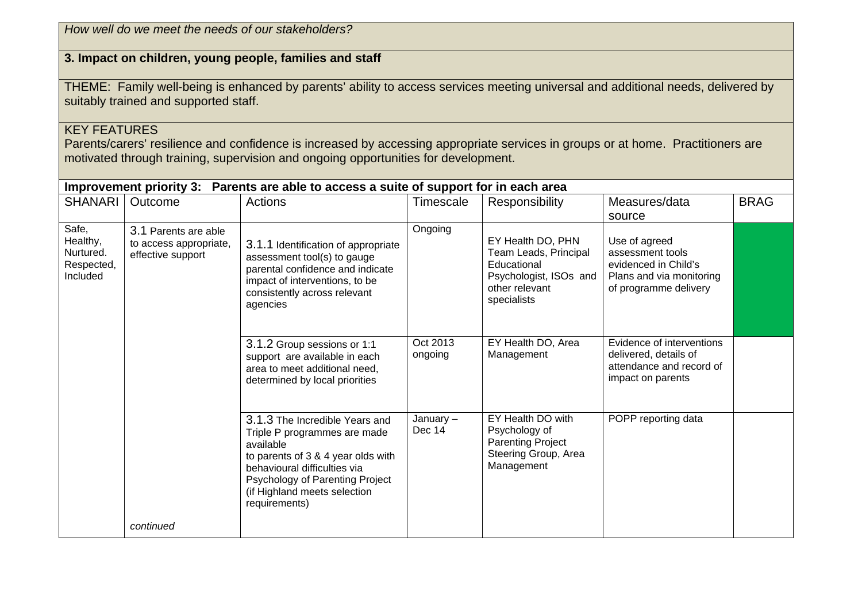| How well do we meet the needs of our stakeholders?                                                                                                                                                                                            |                                                                     |                                                                                                                                                                                                                                       |                       |                                                                                                                      |                                                                                                                |             |  |  |
|-----------------------------------------------------------------------------------------------------------------------------------------------------------------------------------------------------------------------------------------------|---------------------------------------------------------------------|---------------------------------------------------------------------------------------------------------------------------------------------------------------------------------------------------------------------------------------|-----------------------|----------------------------------------------------------------------------------------------------------------------|----------------------------------------------------------------------------------------------------------------|-------------|--|--|
|                                                                                                                                                                                                                                               |                                                                     | 3. Impact on children, young people, families and staff                                                                                                                                                                               |                       |                                                                                                                      |                                                                                                                |             |  |  |
|                                                                                                                                                                                                                                               | suitably trained and supported staff.                               | THEME: Family well-being is enhanced by parents' ability to access services meeting universal and additional needs, delivered by                                                                                                      |                       |                                                                                                                      |                                                                                                                |             |  |  |
| <b>KEY FEATURES</b><br>Parents/carers' resilience and confidence is increased by accessing appropriate services in groups or at home. Practitioners are<br>motivated through training, supervision and ongoing opportunities for development. |                                                                     |                                                                                                                                                                                                                                       |                       |                                                                                                                      |                                                                                                                |             |  |  |
| SHANARI                                                                                                                                                                                                                                       | Outcome                                                             | Improvement priority 3: Parents are able to access a suite of support for in each area<br><b>Actions</b>                                                                                                                              | Timescale             | Responsibility                                                                                                       | Measures/data<br>source                                                                                        | <b>BRAG</b> |  |  |
| Safe,<br>Healthy,<br>Nurtured.<br>Respected,<br>Included                                                                                                                                                                                      | 3.1 Parents are able<br>to access appropriate,<br>effective support | 3.1.1 Identification of appropriate<br>assessment tool(s) to gauge<br>parental confidence and indicate<br>impact of interventions, to be<br>consistently across relevant<br>agencies                                                  | Ongoing               | EY Health DO, PHN<br>Team Leads, Principal<br>Educational<br>Psychologist, ISOs and<br>other relevant<br>specialists | Use of agreed<br>assessment tools<br>evidenced in Child's<br>Plans and via monitoring<br>of programme delivery |             |  |  |
|                                                                                                                                                                                                                                               |                                                                     | 3.1.2 Group sessions or 1:1<br>support are available in each<br>area to meet additional need,<br>determined by local priorities                                                                                                       | Oct 2013<br>ongoing   | EY Health DO, Area<br>Management                                                                                     | Evidence of interventions<br>delivered, details of<br>attendance and record of<br>impact on parents            |             |  |  |
|                                                                                                                                                                                                                                               |                                                                     | 3.1.3 The Incredible Years and<br>Triple P programmes are made<br>available<br>to parents of 3 & 4 year olds with<br>behavioural difficulties via<br>Psychology of Parenting Project<br>(if Highland meets selection<br>requirements) | January $-$<br>Dec 14 | EY Health DO with<br>Psychology of<br><b>Parenting Project</b><br>Steering Group, Area<br>Management                 | POPP reporting data                                                                                            |             |  |  |
|                                                                                                                                                                                                                                               | continued                                                           |                                                                                                                                                                                                                                       |                       |                                                                                                                      |                                                                                                                |             |  |  |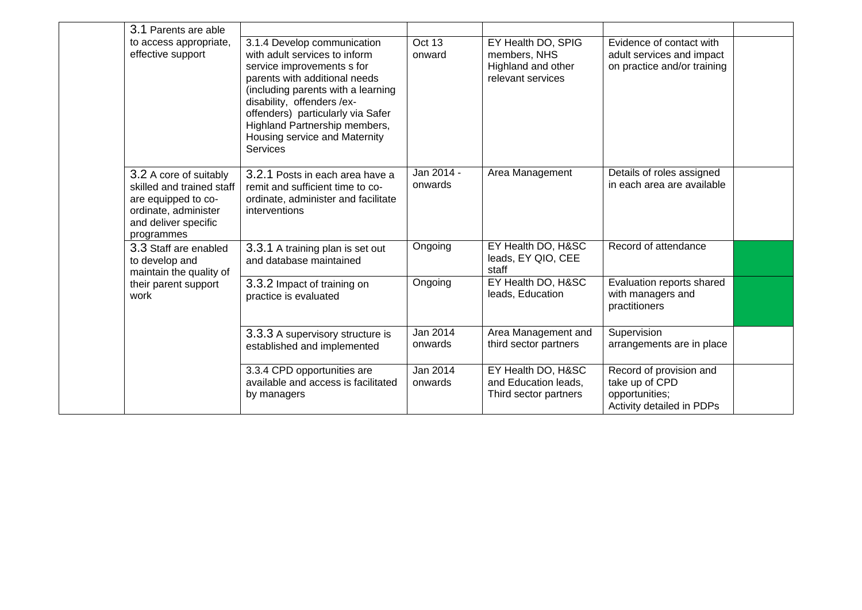| 3.1 Parents are able                                                                                                                     |                                                                                                                                                                                                                                                                                                                    |                       |                                                                               |                                                                                          |  |
|------------------------------------------------------------------------------------------------------------------------------------------|--------------------------------------------------------------------------------------------------------------------------------------------------------------------------------------------------------------------------------------------------------------------------------------------------------------------|-----------------------|-------------------------------------------------------------------------------|------------------------------------------------------------------------------------------|--|
| to access appropriate,<br>effective support                                                                                              | 3.1.4 Develop communication<br>with adult services to inform<br>service improvements s for<br>parents with additional needs<br>(including parents with a learning<br>disability, offenders /ex-<br>offenders) particularly via Safer<br>Highland Partnership members,<br>Housing service and Maternity<br>Services | Oct 13<br>onward      | EY Health DO, SPIG<br>members, NHS<br>Highland and other<br>relevant services | Evidence of contact with<br>adult services and impact<br>on practice and/or training     |  |
| 3.2 A core of suitably<br>skilled and trained staff<br>are equipped to co-<br>ordinate, administer<br>and deliver specific<br>programmes | 3.2.1 Posts in each area have a<br>remit and sufficient time to co-<br>ordinate, administer and facilitate<br>interventions                                                                                                                                                                                        | Jan 2014 -<br>onwards | Area Management                                                               | Details of roles assigned<br>in each area are available                                  |  |
| 3.3 Staff are enabled<br>to develop and<br>maintain the quality of                                                                       | 3.3.1 A training plan is set out<br>and database maintained                                                                                                                                                                                                                                                        | Ongoing               | EY Health DO, H&SC<br>leads, EY QIO, CEE<br>staff                             | Record of attendance                                                                     |  |
| their parent support<br>work                                                                                                             | 3.3.2 Impact of training on<br>practice is evaluated                                                                                                                                                                                                                                                               | Ongoing               | EY Health DO, H&SC<br>leads, Education                                        | Evaluation reports shared<br>with managers and<br>practitioners                          |  |
|                                                                                                                                          | 3.3.3 A supervisory structure is<br>established and implemented                                                                                                                                                                                                                                                    | Jan 2014<br>onwards   | Area Management and<br>third sector partners                                  | Supervision<br>arrangements are in place                                                 |  |
|                                                                                                                                          | 3.3.4 CPD opportunities are<br>available and access is facilitated<br>by managers                                                                                                                                                                                                                                  | Jan 2014<br>onwards   | EY Health DO, H&SC<br>and Education leads,<br>Third sector partners           | Record of provision and<br>take up of CPD<br>opportunities;<br>Activity detailed in PDPs |  |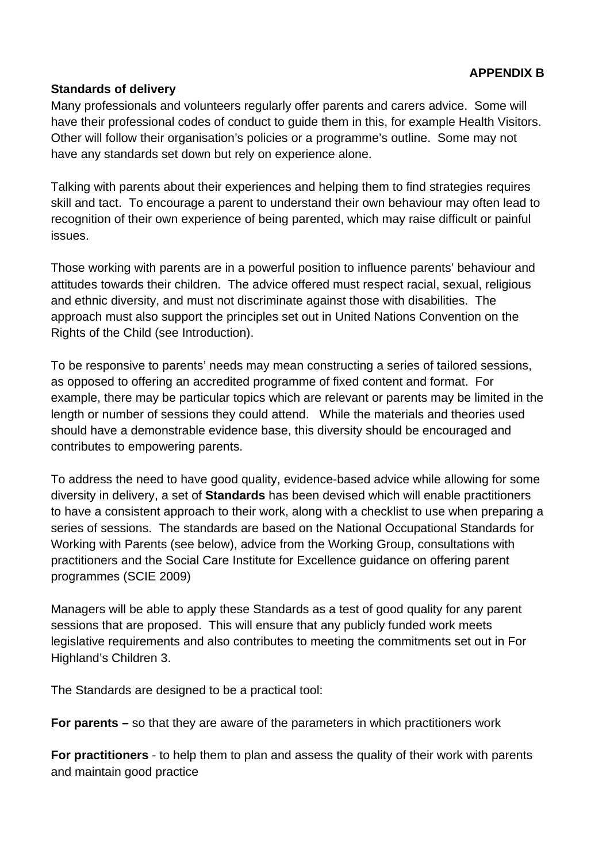#### **Standards of delivery**

Many professionals and volunteers regularly offer parents and carers advice. Some will have their professional codes of conduct to guide them in this, for example Health Visitors. Other will follow their organisation's policies or a programme's outline. Some may not have any standards set down but rely on experience alone.

Talking with parents about their experiences and helping them to find strategies requires skill and tact. To encourage a parent to understand their own behaviour may often lead to recognition of their own experience of being parented, which may raise difficult or painful issues.

Those working with parents are in a powerful position to influence parents' behaviour and attitudes towards their children. The advice offered must respect racial, sexual, religious and ethnic diversity, and must not discriminate against those with disabilities. The approach must also support the principles set out in United Nations Convention on the Rights of the Child (see Introduction).

To be responsive to parents' needs may mean constructing a series of tailored sessions, as opposed to offering an accredited programme of fixed content and format. For example, there may be particular topics which are relevant or parents may be limited in the length or number of sessions they could attend. While the materials and theories used should have a demonstrable evidence base, this diversity should be encouraged and contributes to empowering parents.

To address the need to have good quality, evidence-based advice while allowing for some diversity in delivery, a set of **Standards** has been devised which will enable practitioners to have a consistent approach to their work, along with a checklist to use when preparing a series of sessions. The standards are based on the National Occupational Standards for Working with Parents (see below), advice from the Working Group, consultations with practitioners and the Social Care Institute for Excellence guidance on offering parent programmes (SCIE 2009)

Managers will be able to apply these Standards as a test of good quality for any parent sessions that are proposed. This will ensure that any publicly funded work meets legislative requirements and also contributes to meeting the commitments set out in For Highland's Children 3.

The Standards are designed to be a practical tool:

**For parents –** so that they are aware of the parameters in which practitioners work

**For practitioners** - to help them to plan and assess the quality of their work with parents and maintain good practice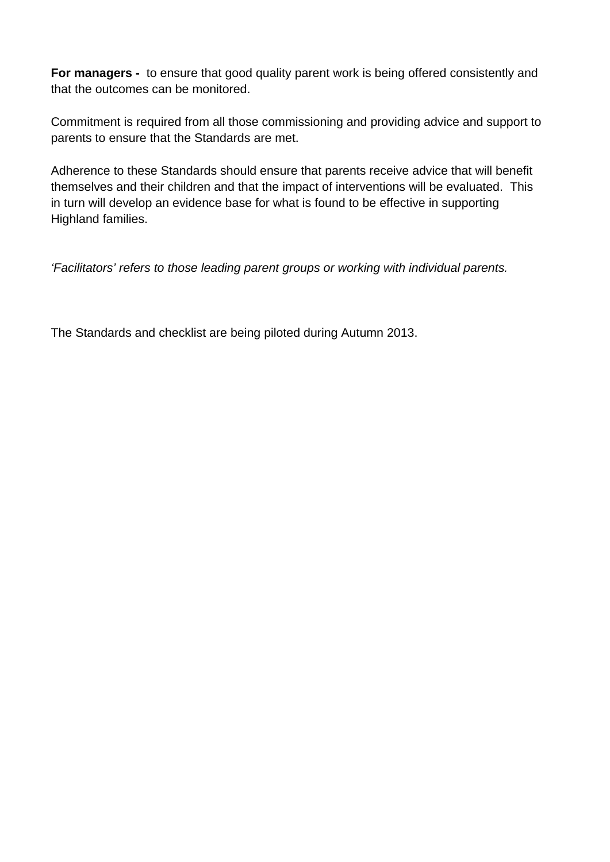**For managers -** to ensure that good quality parent work is being offered consistently and that the outcomes can be monitored.

Commitment is required from all those commissioning and providing advice and support to parents to ensure that the Standards are met.

Adherence to these Standards should ensure that parents receive advice that will benefit themselves and their children and that the impact of interventions will be evaluated. This in turn will develop an evidence base for what is found to be effective in supporting Highland families.

*'Facilitators' refers to those leading parent groups or working with individual parents.* 

The Standards and checklist are being piloted during Autumn 2013.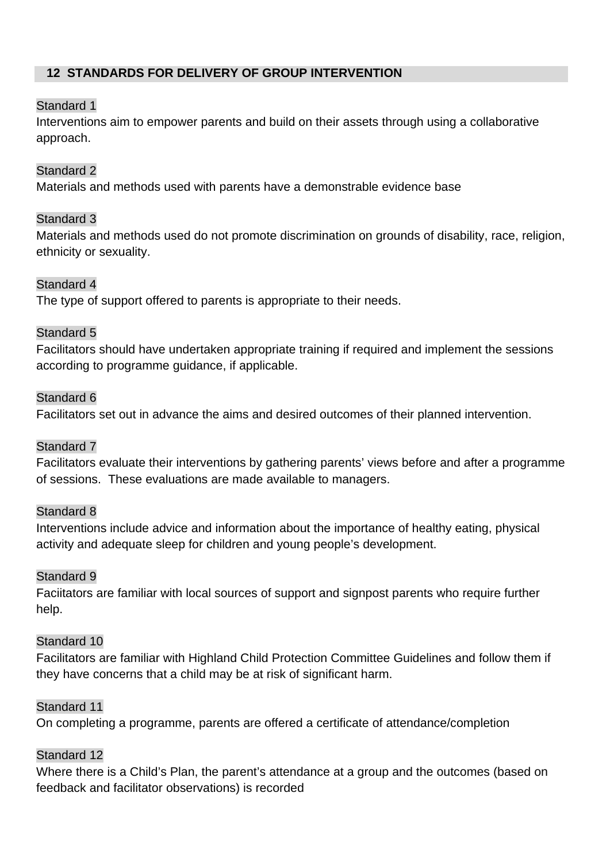## **12 STANDARDS FOR DELIVERY OF GROUP INTERVENTION**

## Standard 1

Interventions aim to empower parents and build on their assets through using a collaborative approach.

## Standard 2

Materials and methods used with parents have a demonstrable evidence base

## Standard 3

Materials and methods used do not promote discrimination on grounds of disability, race, religion, ethnicity or sexuality.

## Standard 4

The type of support offered to parents is appropriate to their needs.

## Standard 5

Facilitators should have undertaken appropriate training if required and implement the sessions according to programme guidance, if applicable.

## Standard 6

Facilitators set out in advance the aims and desired outcomes of their planned intervention.

## Standard 7

Facilitators evaluate their interventions by gathering parents' views before and after a programme of sessions. These evaluations are made available to managers.

## Standard 8

Interventions include advice and information about the importance of healthy eating, physical activity and adequate sleep for children and young people's development.

## Standard 9

Faciitators are familiar with local sources of support and signpost parents who require further help.

## Standard 10

Facilitators are familiar with Highland Child Protection Committee Guidelines and follow them if they have concerns that a child may be at risk of significant harm.

## Standard 11

On completing a programme, parents are offered a certificate of attendance/completion

## Standard 12

Where there is a Child's Plan, the parent's attendance at a group and the outcomes (based on feedback and facilitator observations) is recorded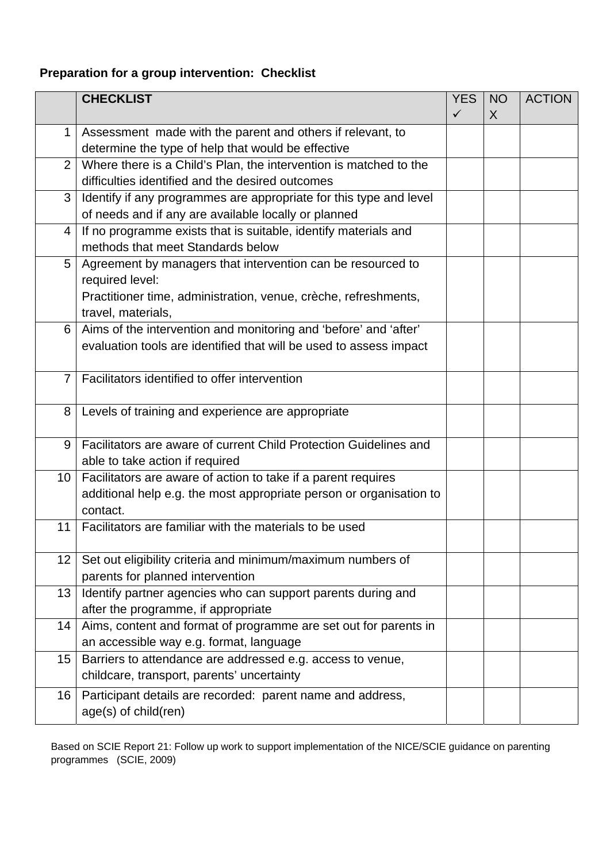## **Preparation for a group intervention: Checklist**

|                | <b>CHECKLIST</b>                                                                                                                                  | <b>YES</b><br>$\checkmark$ | <b>NO</b><br>$\sf X$ | <b>ACTION</b> |
|----------------|---------------------------------------------------------------------------------------------------------------------------------------------------|----------------------------|----------------------|---------------|
| 1              | Assessment made with the parent and others if relevant, to<br>determine the type of help that would be effective                                  |                            |                      |               |
| $\overline{2}$ | Where there is a Child's Plan, the intervention is matched to the                                                                                 |                            |                      |               |
|                | difficulties identified and the desired outcomes                                                                                                  |                            |                      |               |
| 3              | Identify if any programmes are appropriate for this type and level<br>of needs and if any are available locally or planned                        |                            |                      |               |
| 4              | If no programme exists that is suitable, identify materials and<br>methods that meet Standards below                                              |                            |                      |               |
| 5              | Agreement by managers that intervention can be resourced to<br>required level:<br>Practitioner time, administration, venue, crèche, refreshments, |                            |                      |               |
|                | travel, materials,                                                                                                                                |                            |                      |               |
| 6              | Aims of the intervention and monitoring and 'before' and 'after'<br>evaluation tools are identified that will be used to assess impact            |                            |                      |               |
| $\overline{7}$ | Facilitators identified to offer intervention                                                                                                     |                            |                      |               |
| 8              | Levels of training and experience are appropriate                                                                                                 |                            |                      |               |
| 9              | Facilitators are aware of current Child Protection Guidelines and<br>able to take action if required                                              |                            |                      |               |
| 10             | Facilitators are aware of action to take if a parent requires<br>additional help e.g. the most appropriate person or organisation to<br>contact.  |                            |                      |               |
| 11             | Facilitators are familiar with the materials to be used                                                                                           |                            |                      |               |
| 12             | Set out eligibility criteria and minimum/maximum numbers of<br>parents for planned intervention                                                   |                            |                      |               |
| 13             | Identify partner agencies who can support parents during and<br>after the programme, if appropriate                                               |                            |                      |               |
| 14             | Aims, content and format of programme are set out for parents in<br>an accessible way e.g. format, language                                       |                            |                      |               |
| 15             | Barriers to attendance are addressed e.g. access to venue,<br>childcare, transport, parents' uncertainty                                          |                            |                      |               |
| 16             | Participant details are recorded: parent name and address,<br>age(s) of child(ren)                                                                |                            |                      |               |

Based on SCIE Report 21: Follow up work to support implementation of the NICE/SCIE guidance on parenting programmes (SCIE, 2009)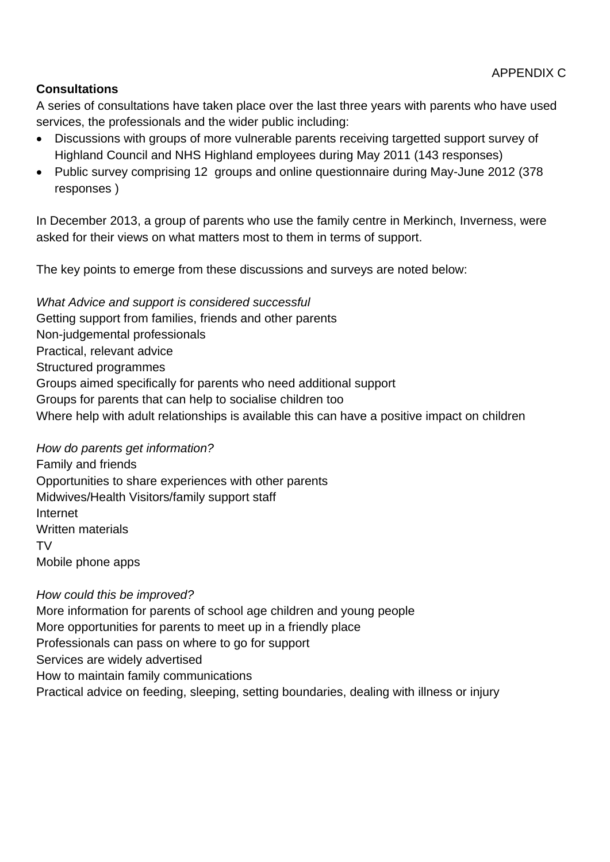## **Consultations**

A series of consultations have taken place over the last three years with parents who have used services, the professionals and the wider public including:

- Discussions with groups of more vulnerable parents receiving targetted support survey of Highland Council and NHS Highland employees during May 2011 (143 responses)
- Public survey comprising 12 groups and online questionnaire during May-June 2012 (378 responses )

In December 2013, a group of parents who use the family centre in Merkinch, Inverness, were asked for their views on what matters most to them in terms of support.

The key points to emerge from these discussions and surveys are noted below:

*What Advice and support is considered successful*  Getting support from families, friends and other parents Non-judgemental professionals Practical, relevant advice Structured programmes Groups aimed specifically for parents who need additional support Groups for parents that can help to socialise children too Where help with adult relationships is available this can have a positive impact on children

*How do parents get information?* 

Family and friends Opportunities to share experiences with other parents Midwives/Health Visitors/family support staff Internet Written materials TV Mobile phone apps

*How could this be improved?*  More information for parents of school age children and young people More opportunities for parents to meet up in a friendly place Professionals can pass on where to go for support Services are widely advertised How to maintain family communications Practical advice on feeding, sleeping, setting boundaries, dealing with illness or injury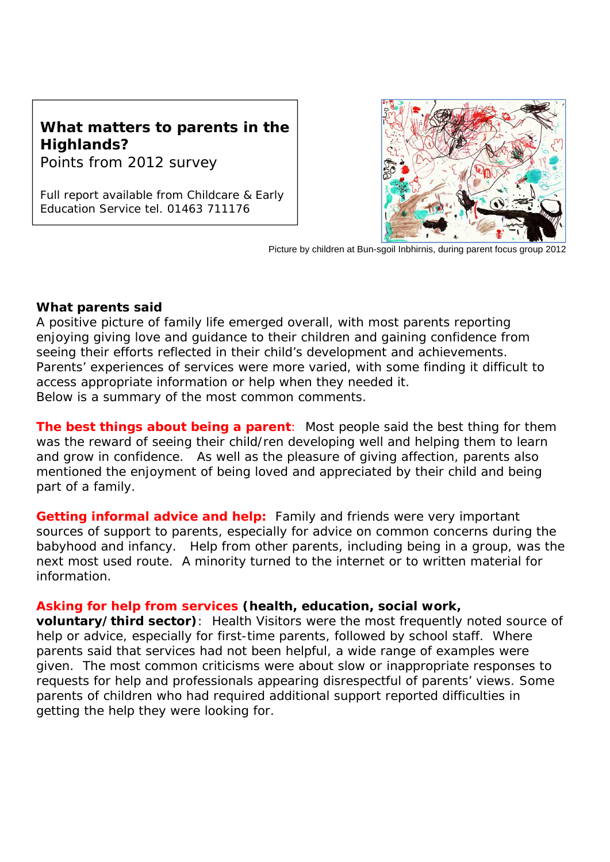# **What matters to parents in the Highlands?**

Points from 2012 survey

*Full report available from Childcare & Early Education Service tel. 01463 711176* 



Picture by children at Bun-sgoil Inbhirnis, during parent focus group 2012

## **What parents said**

A positive picture of family life emerged overall, with most parents reporting enjoying giving love and guidance to their children and gaining confidence from seeing their efforts reflected in their child's development and achievements. Parents' experiences of services were more varied, with some finding it difficult to access appropriate information or help when they needed it. Below is a summary of the most common comments.

**The best things about being a parent**: Most people said the best thing for them was the reward of seeing their child/ren developing well and helping them to learn and grow in confidence. As well as the pleasure of giving affection, parents also mentioned the enjoyment of being loved and appreciated by their child and being part of a family.

**Getting informal advice and help:** Family and friends were very important sources of support to parents, especially for advice on common concerns during the babyhood and infancy. Help from other parents, including being in a group, was the next most used route. A minority turned to the internet or to written material for information.

## **Asking for help from services (health, education, social work,**

**voluntary/third sector)**: Health Visitors were the most frequently noted source of help or advice, especially for first-time parents, followed by school staff. Where parents said that services had not been helpful, a wide range of examples were given. The most common criticisms were about slow or inappropriate responses to requests for help and professionals appearing disrespectful of parents' views. Some parents of children who had required additional support reported difficulties in getting the help they were looking for.